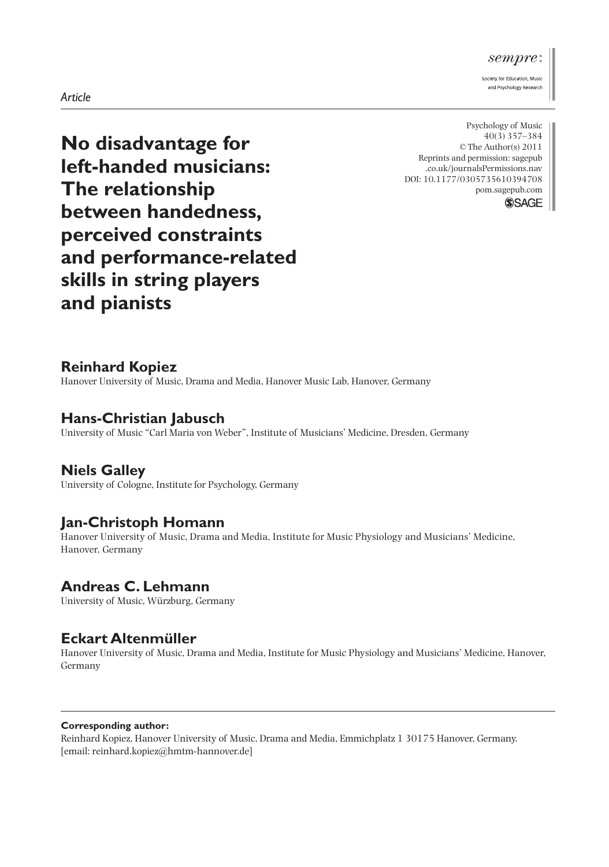#### sempre:

Society for Education, Music and Psychology Research

*Article*

**No disadvantage for left-handed musicians: The relationship between handedness, perceived constraints and performance-related skills in string players and pianists**

Psychology of Music 40(3) 357–384 © The Author(s) 2011 Reprints and permission: sagepub .co.uk/journalsPermissions.nav DOI: 10.1177/0305735610394708 pom.sagepub.com



## **Reinhard Kopiez**

Hanover University of Music, Drama and Media, Hanover Music Lab, Hanover, Germany

## **Hans-Christian Jabusch**

University of Music "Carl Maria von Weber", Institute of Musicians' Medicine, Dresden, Germany

## **Niels Galley**

University of Cologne, Institute for Psychology, Germany

# **Jan-Christoph Homann**

Hanover University of Music, Drama and Media, Institute for Music Physiology and Musicians' Medicine, Hanover, Germany

# **Andreas C. Lehmann**

University of Music, Würzburg, Germany

# **Eckart Altenmüller**

Hanover University of Music, Drama and Media, Institute for Music Physiology and Musicians' Medicine, Hanover, Germany

#### **Corresponding author:**

Reinhard Kopiez, Hanover University of Music, Drama and Media, Emmichplatz 1 30175 Hanover, Germany. [email: reinhard.kopiez@hmtm-hannover.de]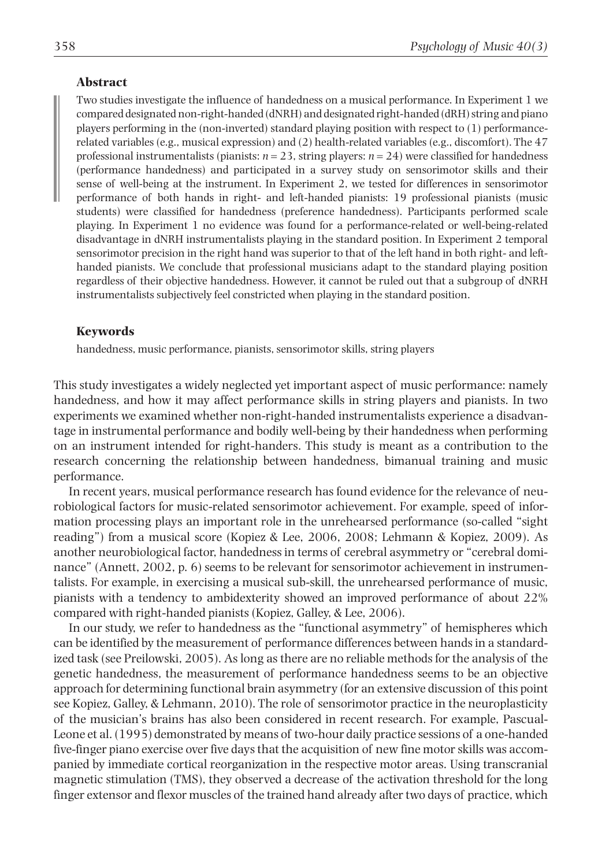### **Abstract**

Two studies investigate the influence of handedness on a musical performance. In Experiment 1 we compared designated non-right-handed (dNRH) and designated right-handed (dRH) string and piano players performing in the (non-inverted) standard playing position with respect to (1) performancerelated variables (e.g., musical expression) and (2) health-related variables (e.g., discomfort). The 47 professional instrumentalists (pianists:  $n = 23$ , string players:  $n = 24$ ) were classified for handedness (performance handedness) and participated in a survey study on sensorimotor skills and their sense of well-being at the instrument. In Experiment 2, we tested for differences in sensorimotor performance of both hands in right- and left-handed pianists: 19 professional pianists (music students) were classified for handedness (preference handedness). Participants performed scale playing. In Experiment 1 no evidence was found for a performance-related or well-being-related disadvantage in dNRH instrumentalists playing in the standard position. In Experiment 2 temporal sensorimotor precision in the right hand was superior to that of the left hand in both right- and lefthanded pianists. We conclude that professional musicians adapt to the standard playing position regardless of their objective handedness. However, it cannot be ruled out that a subgroup of dNRH instrumentalists subjectively feel constricted when playing in the standard position.

### **Keywords**

handedness, music performance, pianists, sensorimotor skills, string players

This study investigates a widely neglected yet important aspect of music performance: namely handedness, and how it may affect performance skills in string players and pianists. In two experiments we examined whether non-right-handed instrumentalists experience a disadvantage in instrumental performance and bodily well-being by their handedness when performing on an instrument intended for right-handers. This study is meant as a contribution to the research concerning the relationship between handedness, bimanual training and music performance.

In recent years, musical performance research has found evidence for the relevance of neurobiological factors for music-related sensorimotor achievement. For example, speed of information processing plays an important role in the unrehearsed performance (so-called "sight reading") from a musical score (Kopiez & Lee, 2006, 2008; Lehmann & Kopiez, 2009). As another neurobiological factor, handedness in terms of cerebral asymmetry or "cerebral dominance" (Annett, 2002, p. 6) seems to be relevant for sensorimotor achievement in instrumentalists. For example, in exercising a musical sub-skill, the unrehearsed performance of music, pianists with a tendency to ambidexterity showed an improved performance of about 22% compared with right-handed pianists (Kopiez, Galley, & Lee, 2006).

In our study, we refer to handedness as the "functional asymmetry" of hemispheres which can be identified by the measurement of performance differences between hands in a standardized task (see Preilowski, 2005). As long as there are no reliable methods for the analysis of the genetic handedness, the measurement of performance handedness seems to be an objective approach for determining functional brain asymmetry (for an extensive discussion of this point see Kopiez, Galley, & Lehmann, 2010). The role of sensorimotor practice in the neuroplasticity of the musician's brains has also been considered in recent research. For example, Pascual-Leone et al. (1995) demonstrated by means of two-hour daily practice sessions of a one-handed five-finger piano exercise over five days that the acquisition of new fine motor skills was accompanied by immediate cortical reorganization in the respective motor areas. Using transcranial magnetic stimulation (TMS), they observed a decrease of the activation threshold for the long finger extensor and flexor muscles of the trained hand already after two days of practice, which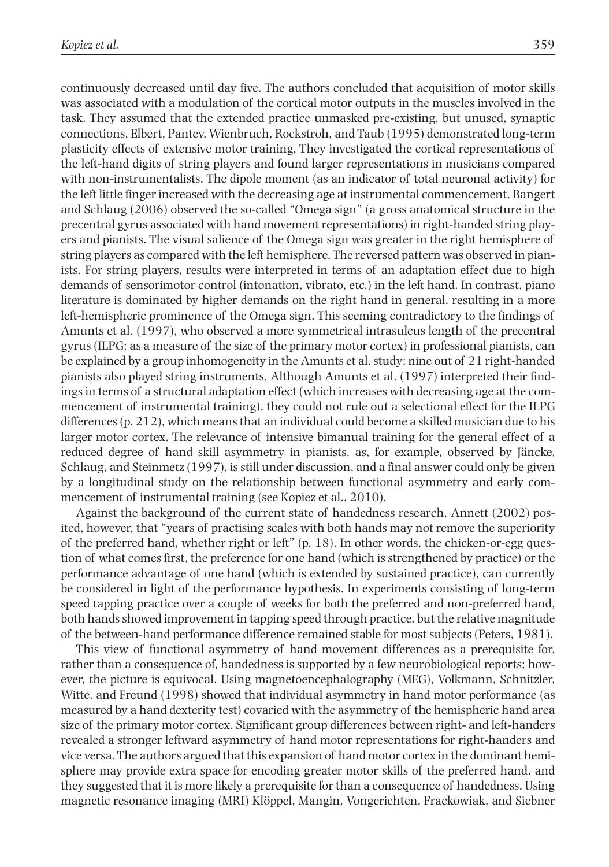continuously decreased until day five. The authors concluded that acquisition of motor skills was associated with a modulation of the cortical motor outputs in the muscles involved in the task. They assumed that the extended practice unmasked pre-existing, but unused, synaptic connections. Elbert, Pantev, Wienbruch, Rockstroh, and Taub (1995) demonstrated long-term plasticity effects of extensive motor training. They investigated the cortical representations of the left-hand digits of string players and found larger representations in musicians compared with non-instrumentalists. The dipole moment (as an indicator of total neuronal activity) for the left little finger increased with the decreasing age at instrumental commencement. Bangert and Schlaug (2006) observed the so-called "Omega sign" (a gross anatomical structure in the precentral gyrus associated with hand movement representations) in right-handed string players and pianists. The visual salience of the Omega sign was greater in the right hemisphere of string players as compared with the left hemisphere. The reversed pattern was observed in pianists. For string players, results were interpreted in terms of an adaptation effect due to high demands of sensorimotor control (intonation, vibrato, etc.) in the left hand. In contrast, piano literature is dominated by higher demands on the right hand in general, resulting in a more left-hemispheric prominence of the Omega sign. This seeming contradictory to the findings of Amunts et al. (1997), who observed a more symmetrical intrasulcus length of the precentral gyrus (ILPG; as a measure of the size of the primary motor cortex) in professional pianists, can be explained by a group inhomogeneity in the Amunts et al. study: nine out of 21 right-handed pianists also played string instruments. Although Amunts et al. (1997) interpreted their findings in terms of a structural adaptation effect (which increases with decreasing age at the commencement of instrumental training), they could not rule out a selectional effect for the ILPG differences (p. 212), which means that an individual could become a skilled musician due to his larger motor cortex. The relevance of intensive bimanual training for the general effect of a reduced degree of hand skill asymmetry in pianists, as, for example, observed by Jäncke, Schlaug, and Steinmetz (1997), is still under discussion, and a final answer could only be given by a longitudinal study on the relationship between functional asymmetry and early commencement of instrumental training (see Kopiez et al., 2010).

Against the background of the current state of handedness research, Annett (2002) posited, however, that "years of practising scales with both hands may not remove the superiority of the preferred hand, whether right or left" (p. 18). In other words, the chicken-or-egg question of what comes first, the preference for one hand (which is strengthened by practice) or the performance advantage of one hand (which is extended by sustained practice), can currently be considered in light of the performance hypothesis. In experiments consisting of long-term speed tapping practice over a couple of weeks for both the preferred and non-preferred hand, both hands showed improvement in tapping speed through practice, but the relative magnitude of the between-hand performance difference remained stable for most subjects (Peters, 1981).

This view of functional asymmetry of hand movement differences as a prerequisite for, rather than a consequence of, handedness is supported by a few neurobiological reports; however, the picture is equivocal. Using magnetoencephalography (MEG), Volkmann, Schnitzler, Witte, and Freund (1998) showed that individual asymmetry in hand motor performance (as measured by a hand dexterity test) covaried with the asymmetry of the hemispheric hand area size of the primary motor cortex. Significant group differences between right- and left-handers revealed a stronger leftward asymmetry of hand motor representations for right-handers and vice versa. The authors argued that this expansion of hand motor cortex in the dominant hemisphere may provide extra space for encoding greater motor skills of the preferred hand, and they suggested that it is more likely a prerequisite for than a consequence of handedness. Using magnetic resonance imaging (MRI) Klöppel, Mangin, Vongerichten, Frackowiak, and Siebner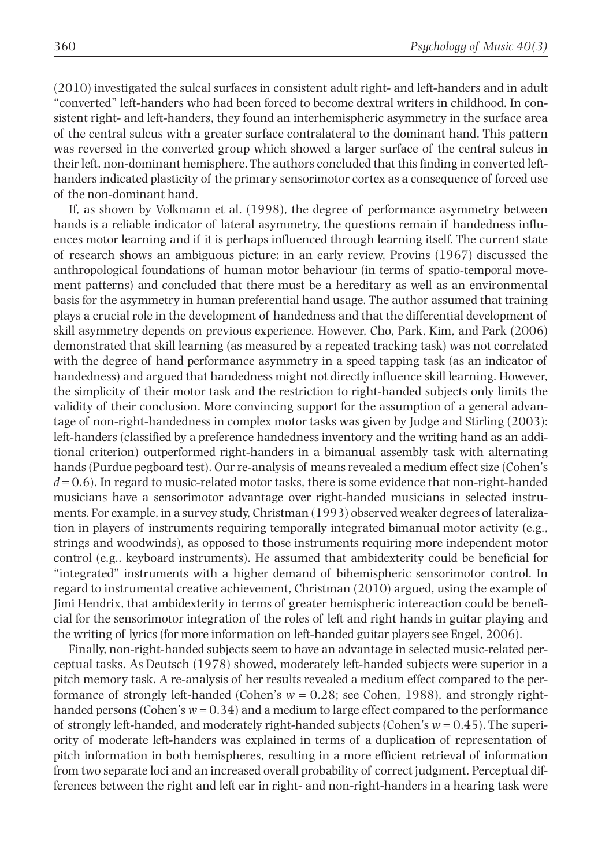(2010) investigated the sulcal surfaces in consistent adult right- and left-handers and in adult "converted" left-handers who had been forced to become dextral writers in childhood. In consistent right- and left-handers, they found an interhemispheric asymmetry in the surface area of the central sulcus with a greater surface contralateral to the dominant hand. This pattern was reversed in the converted group which showed a larger surface of the central sulcus in their left, non-dominant hemisphere. The authors concluded that this finding in converted lefthanders indicated plasticity of the primary sensorimotor cortex as a consequence of forced use of the non-dominant hand.

If, as shown by Volkmann et al. (1998), the degree of performance asymmetry between hands is a reliable indicator of lateral asymmetry, the questions remain if handedness influences motor learning and if it is perhaps influenced through learning itself. The current state of research shows an ambiguous picture: in an early review, Provins (1967) discussed the anthropological foundations of human motor behaviour (in terms of spatio-temporal movement patterns) and concluded that there must be a hereditary as well as an environmental basis for the asymmetry in human preferential hand usage. The author assumed that training plays a crucial role in the development of handedness and that the differential development of skill asymmetry depends on previous experience. However, Cho, Park, Kim, and Park (2006) demonstrated that skill learning (as measured by a repeated tracking task) was not correlated with the degree of hand performance asymmetry in a speed tapping task (as an indicator of handedness) and argued that handedness might not directly influence skill learning. However, the simplicity of their motor task and the restriction to right-handed subjects only limits the validity of their conclusion. More convincing support for the assumption of a general advantage of non-right-handedness in complex motor tasks was given by Judge and Stirling (2003): left-handers (classified by a preference handedness inventory and the writing hand as an additional criterion) outperformed right-handers in a bimanual assembly task with alternating hands (Purdue pegboard test). Our re-analysis of means revealed a medium effect size (Cohen's  $d = 0.6$ ). In regard to music-related motor tasks, there is some evidence that non-right-handed musicians have a sensorimotor advantage over right-handed musicians in selected instruments. For example, in a survey study, Christman (1993) observed weaker degrees of lateralization in players of instruments requiring temporally integrated bimanual motor activity (e.g., strings and woodwinds), as opposed to those instruments requiring more independent motor control (e.g., keyboard instruments). He assumed that ambidexterity could be beneficial for "integrated" instruments with a higher demand of bihemispheric sensorimotor control. In regard to instrumental creative achievement, Christman (2010) argued, using the example of Jimi Hendrix, that ambidexterity in terms of greater hemispheric intereaction could be beneficial for the sensorimotor integration of the roles of left and right hands in guitar playing and the writing of lyrics (for more information on left-handed guitar players see Engel, 2006).

Finally, non-right-handed subjects seem to have an advantage in selected music-related perceptual tasks. As Deutsch (1978) showed, moderately left-handed subjects were superior in a pitch memory task. A re-analysis of her results revealed a medium effect compared to the performance of strongly left-handed (Cohen's  $w = 0.28$ ; see Cohen, 1988), and strongly righthanded persons (Cohen's  $w = 0.34$ ) and a medium to large effect compared to the performance of strongly left-handed, and moderately right-handed subjects (Cohen's  $w = 0.45$ ). The superiority of moderate left-handers was explained in terms of a duplication of representation of pitch information in both hemispheres, resulting in a more efficient retrieval of information from two separate loci and an increased overall probability of correct judgment. Perceptual differences between the right and left ear in right- and non-right-handers in a hearing task were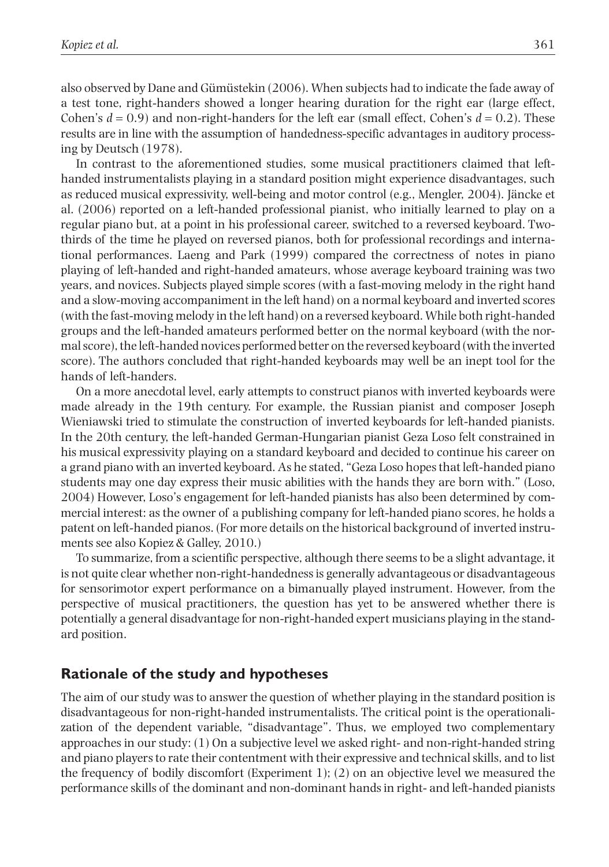also observed by Dane and Gümüstekin (2006). When subjects had to indicate the fade away of a test tone, right-handers showed a longer hearing duration for the right ear (large effect, Cohen's  $d = 0.9$  and non-right-handers for the left ear (small effect, Cohen's  $d = 0.2$ ). These results are in line with the assumption of handedness-specific advantages in auditory processing by Deutsch (1978).

In contrast to the aforementioned studies, some musical practitioners claimed that lefthanded instrumentalists playing in a standard position might experience disadvantages, such as reduced musical expressivity, well-being and motor control (e.g., Mengler, 2004). Jäncke et al. (2006) reported on a left-handed professional pianist, who initially learned to play on a regular piano but, at a point in his professional career, switched to a reversed keyboard. Twothirds of the time he played on reversed pianos, both for professional recordings and international performances. Laeng and Park (1999) compared the correctness of notes in piano playing of left-handed and right-handed amateurs, whose average keyboard training was two years, and novices. Subjects played simple scores (with a fast-moving melody in the right hand and a slow-moving accompaniment in the left hand) on a normal keyboard and inverted scores (with the fast-moving melody in the left hand) on a reversed keyboard. While both right-handed groups and the left-handed amateurs performed better on the normal keyboard (with the normal score), the left-handed novices performed better on the reversed keyboard (with the inverted score). The authors concluded that right-handed keyboards may well be an inept tool for the hands of left-handers.

On a more anecdotal level, early attempts to construct pianos with inverted keyboards were made already in the 19th century. For example, the Russian pianist and composer Joseph Wieniawski tried to stimulate the construction of inverted keyboards for left-handed pianists. In the 20th century, the left-handed German-Hungarian pianist Geza Loso felt constrained in his musical expressivity playing on a standard keyboard and decided to continue his career on a grand piano with an inverted keyboard. As he stated, "Geza Loso hopes that left-handed piano students may one day express their music abilities with the hands they are born with." (Loso, 2004) However, Loso's engagement for left-handed pianists has also been determined by commercial interest: as the owner of a publishing company for left-handed piano scores, he holds a patent on left-handed pianos. (For more details on the historical background of inverted instruments see also Kopiez & Galley, 2010.)

To summarize, from a scientific perspective, although there seems to be a slight advantage, it is not quite clear whether non-right-handedness is generally advantageous or disadvantageous for sensorimotor expert performance on a bimanually played instrument. However, from the perspective of musical practitioners, the question has yet to be answered whether there is potentially a general disadvantage for non-right-handed expert musicians playing in the standard position.

## **Rationale of the study and hypotheses**

The aim of our study was to answer the question of whether playing in the standard position is disadvantageous for non-right-handed instrumentalists. The critical point is the operationalization of the dependent variable, "disadvantage". Thus, we employed two complementary approaches in our study: (1) On a subjective level we asked right- and non-right-handed string and piano players to rate their contentment with their expressive and technical skills, and to list the frequency of bodily discomfort (Experiment 1); (2) on an objective level we measured the performance skills of the dominant and non-dominant hands in right- and left-handed pianists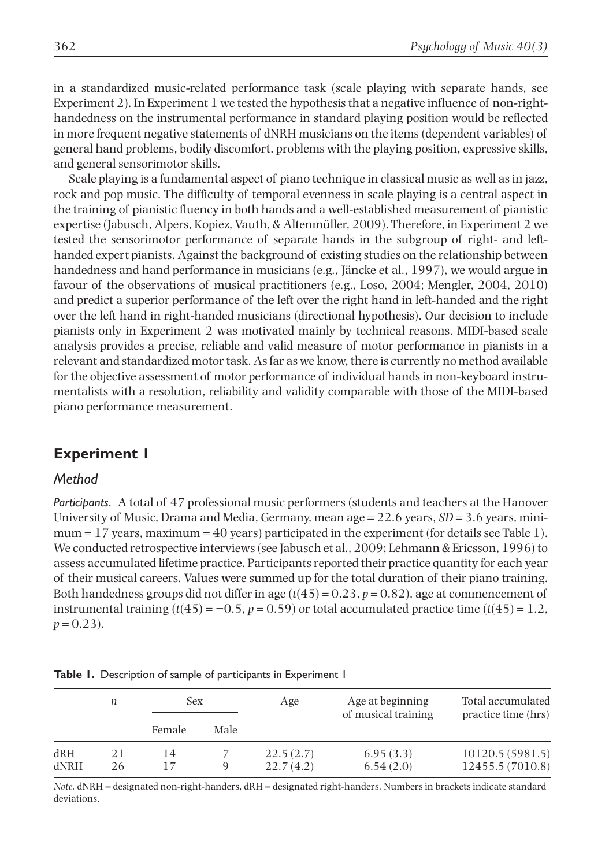in a standardized music-related performance task (scale playing with separate hands, see Experiment 2). In Experiment 1 we tested the hypothesis that a negative influence of non-righthandedness on the instrumental performance in standard playing position would be reflected in more frequent negative statements of dNRH musicians on the items (dependent variables) of general hand problems, bodily discomfort, problems with the playing position, expressive skills, and general sensorimotor skills.

Scale playing is a fundamental aspect of piano technique in classical music as well as in jazz, rock and pop music. The difficulty of temporal evenness in scale playing is a central aspect in the training of pianistic fluency in both hands and a well-established measurement of pianistic expertise (Jabusch, Alpers, Kopiez, Vauth, & Altenmüller, 2009). Therefore, in Experiment 2 we tested the sensorimotor performance of separate hands in the subgroup of right- and lefthanded expert pianists. Against the background of existing studies on the relationship between handedness and hand performance in musicians (e.g., Jäncke et al., 1997), we would argue in favour of the observations of musical practitioners (e.g., Loso, 2004; Mengler, 2004, 2010) and predict a superior performance of the left over the right hand in left-handed and the right over the left hand in right-handed musicians (directional hypothesis). Our decision to include pianists only in Experiment 2 was motivated mainly by technical reasons. MIDI-based scale analysis provides a precise, reliable and valid measure of motor performance in pianists in a relevant and standardized motor task. As far as we know, there is currently no method available for the objective assessment of motor performance of individual hands in non-keyboard instrumentalists with a resolution, reliability and validity comparable with those of the MIDI-based piano performance measurement.

# **Experiment 1**

### *Method*

*Participants.* A total of 47 professional music performers (students and teachers at the Hanover University of Music, Drama and Media, Germany, mean age = 22.6 years, *SD* = 3.6 years, minimum  $= 17$  years, maximum  $= 40$  years) participated in the experiment (for details see Table 1). We conducted retrospective interviews (see Jabusch et al., 2009; Lehmann & Ericsson, 1996) to assess accumulated lifetime practice. Participants reported their practice quantity for each year of their musical careers. Values were summed up for the total duration of their piano training. Both handedness groups did not differ in age  $(t(45) = 0.23, p = 0.82)$ , age at commencement of instrumental training  $(t(45) = -0.5, p = 0.59)$  or total accumulated practice time  $(t(45) = 1.2,$  $p = 0.23$ .

|  |  |  |  |  |  | Table 1. Description of sample of participants in Experiment 1 |  |  |  |
|--|--|--|--|--|--|----------------------------------------------------------------|--|--|--|
|--|--|--|--|--|--|----------------------------------------------------------------|--|--|--|

|             | n        | <b>Sex</b> |      | Age                    | Age at beginning<br>of musical training | Total accumulated<br>practice time (hrs) |
|-------------|----------|------------|------|------------------------|-----------------------------------------|------------------------------------------|
|             |          | Female     | Male |                        |                                         |                                          |
| dRH<br>dNRH | 21<br>26 | 14         |      | 22.5(2.7)<br>22.7(4.2) | 6.95(3.3)<br>6.54(2.0)                  | 10120.5(5981.5)<br>12455.5 (7010.8)      |

*Note.*  $dNRH =$  designated non-right-handers,  $dRH =$  designated right-handers. Numbers in brackets indicate standard deviations.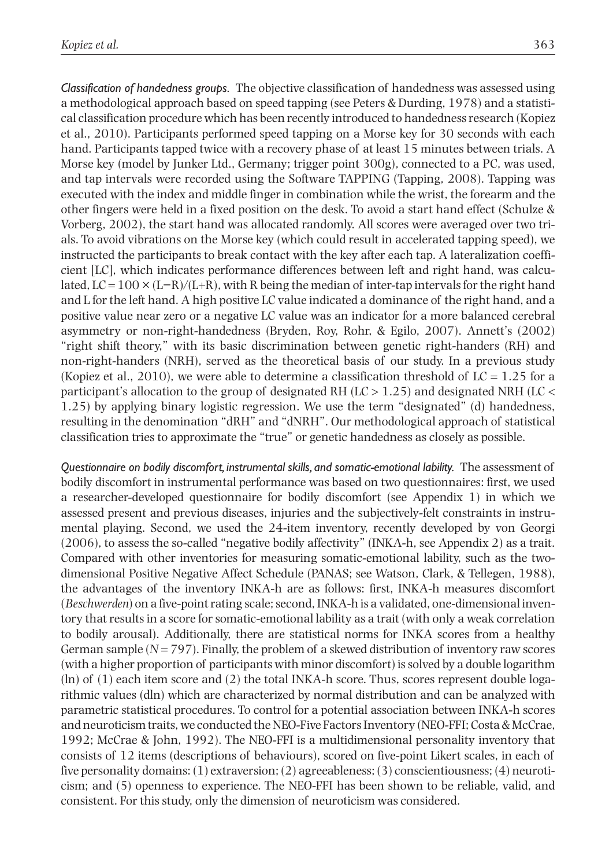*Classification of handedness groups.* The objective classification of handedness was assessed using a methodological approach based on speed tapping (see Peters & Durding, 1978) and a statistical classification procedure which has been recently introduced to handedness research (Kopiez et al., 2010). Participants performed speed tapping on a Morse key for 30 seconds with each hand. Participants tapped twice with a recovery phase of at least 15 minutes between trials. A Morse key (model by Junker Ltd., Germany; trigger point 300g), connected to a PC, was used, and tap intervals were recorded using the Software TAPPING (Tapping, 2008). Tapping was executed with the index and middle finger in combination while the wrist, the forearm and the other fingers were held in a fixed position on the desk. To avoid a start hand effect (Schulze & Vorberg, 2002), the start hand was allocated randomly. All scores were averaged over two trials. To avoid vibrations on the Morse key (which could result in accelerated tapping speed), we instructed the participants to break contact with the key after each tap. A lateralization coefficient [LC], which indicates performance differences between left and right hand, was calculated, LC =  $100 \times (L-R)/(L+R)$ , with R being the median of inter-tap intervals for the right hand and L for the left hand. A high positive LC value indicated a dominance of the right hand, and a positive value near zero or a negative LC value was an indicator for a more balanced cerebral asymmetry or non-right-handedness (Bryden, Roy, Rohr, & Egilo, 2007). Annett's (2002) "right shift theory," with its basic discrimination between genetic right-handers (RH) and non-right-handers (NRH), served as the theoretical basis of our study. In a previous study (Kopiez et al., 2010), we were able to determine a classification threshold of  $LC = 1.25$  for a participant's allocation to the group of designated RH ( $LC > 1.25$ ) and designated NRH ( $LC <$ 1.25) by applying binary logistic regression. We use the term "designated" (d) handedness, resulting in the denomination "dRH" and "dNRH". Our methodological approach of statistical classification tries to approximate the "true" or genetic handedness as closely as possible.

*Questionnaire on bodily discomfort, instrumental skills, and somatic-emotional lability.* The assessment of bodily discomfort in instrumental performance was based on two questionnaires: first, we used a researcher-developed questionnaire for bodily discomfort (see Appendix 1) in which we assessed present and previous diseases, injuries and the subjectively-felt constraints in instrumental playing. Second, we used the 24-item inventory, recently developed by von Georgi (2006), to assess the so-called "negative bodily affectivity" (INKA-h, see Appendix 2) as a trait. Compared with other inventories for measuring somatic-emotional lability, such as the twodimensional Positive Negative Affect Schedule (PANAS; see Watson, Clark, & Tellegen, 1988), the advantages of the inventory INKA-h are as follows: first, INKA-h measures discomfort (*Beschwerden*) on a five-point rating scale; second, INKA-h is a validated, one-dimensional inventory that results in a score for somatic-emotional lability as a trait (with only a weak correlation to bodily arousal). Additionally, there are statistical norms for INKA scores from a healthy German sample  $(N = 797)$ . Finally, the problem of a skewed distribution of inventory raw scores (with a higher proportion of participants with minor discomfort) is solved by a double logarithm (ln) of (1) each item score and (2) the total INKA-h score. Thus, scores represent double logarithmic values (dln) which are characterized by normal distribution and can be analyzed with parametric statistical procedures. To control for a potential association between INKA-h scores and neuroticism traits, we conducted the NEO-Five Factors Inventory (NEO-FFI; Costa & McCrae, 1992; McCrae & John, 1992). The NEO-FFI is a multidimensional personality inventory that consists of 12 items (descriptions of behaviours), scored on five-point Likert scales, in each of five personality domains: (1) extraversion; (2) agreeableness; (3) conscientiousness; (4) neuroticism; and (5) openness to experience. The NEO-FFI has been shown to be reliable, valid, and consistent. For this study, only the dimension of neuroticism was considered.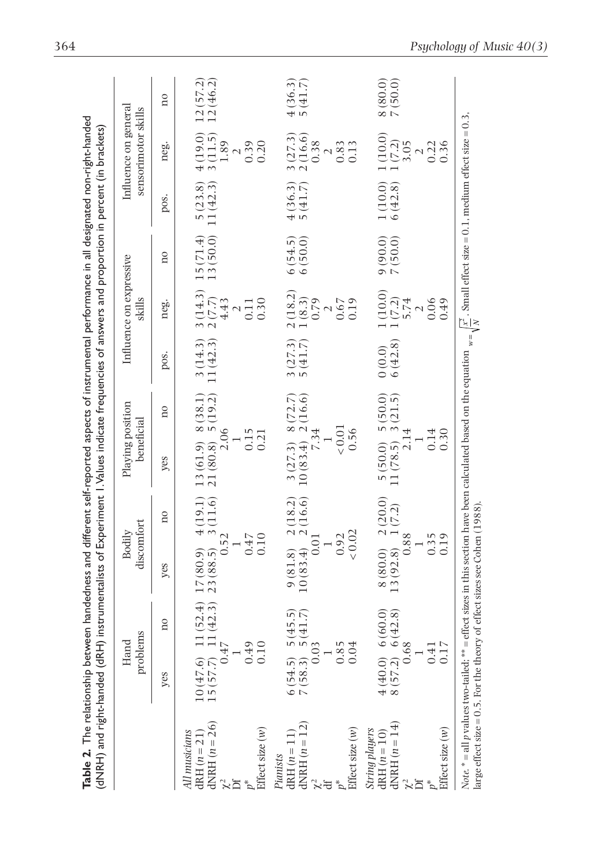|                                                                                                                                                                                                                                                                                              | Hand                                               |                          | Bodily                                         |                         | Playing position                                                                |                                                                                     |                                                    | Influence on expressive                                        |                          |                                       | Influence on general                                                                 |                        |
|----------------------------------------------------------------------------------------------------------------------------------------------------------------------------------------------------------------------------------------------------------------------------------------------|----------------------------------------------------|--------------------------|------------------------------------------------|-------------------------|---------------------------------------------------------------------------------|-------------------------------------------------------------------------------------|----------------------------------------------------|----------------------------------------------------------------|--------------------------|---------------------------------------|--------------------------------------------------------------------------------------|------------------------|
|                                                                                                                                                                                                                                                                                              | probler                                            | ms                       | discomfort                                     |                         | beneficial                                                                      |                                                                                     |                                                    | skills                                                         |                          |                                       | sensorimotor skills                                                                  |                        |
|                                                                                                                                                                                                                                                                                              | yes                                                | $\overline{\mathrm{m}}$  | yes                                            | $\overline{\mathbf{a}}$ | yes                                                                             | $\overline{a}$                                                                      | pos.                                               | neg.                                                           | $\overline{\mathbf{a}}$  | pos.                                  | neg.                                                                                 | $\overline{a}$         |
| dNRH $(n=26)$<br>All musicians<br>dRH $(n = 21$                                                                                                                                                                                                                                              | 0.47<br>$10(47.6)$<br>$15(57.7)$                   | $11(52.4)$<br>$11(42.3)$ | 0.52<br>$17(80.9)$<br>$23(88.5)$               | $4(19.1)$<br>3(11.6)    | $\begin{array}{c} 13\ (61.9) \ 8\ (38.1) \\ 21\ (80.8) \ 5\ (19.2) \end{array}$ | 2.06                                                                                | $\begin{array}{c} 3(14.3) \\ 11(42.3) \end{array}$ | $\begin{array}{c} 3 \ (14.3) \\ 2 \ (7.7) \\ 4.43 \end{array}$ | $15(71.4)$<br>$13(50.0)$ | $5(23.8) 4(19.0)$<br>11(42.3) 3(11.5) | 1.89                                                                                 | 12 (57.2)<br>12 (46.2) |
| Effect size $(w)$                                                                                                                                                                                                                                                                            | 0.10<br>$^{1}_{0.49}$                              |                          | 0.10<br>0.47                                   |                         | 0.15<br>0.21                                                                    |                                                                                     |                                                    | 0.30<br>$\frac{2}{0.11}$                                       |                          |                                       | $0.39$<br>$0.20$<br>$\mathcal{L}$                                                    |                        |
| dNRH $(n = 12)$<br>$\begin{array}{ll} \textit{Points} & \\ \textit{dRH}\ (n=11) \end{array}$                                                                                                                                                                                                 | $0.03$<br>$1.85$<br>$0.04$<br>$6(54.5)$<br>7(58.3) | $5(45.5)$<br>$5(41.7)$   | 0.01<br>10(83.4)<br>9(81.8)                    | $2(18.2)$<br>$2(16.6)$  |                                                                                 | $3(27.3) 8(72.7)$<br>10(83.4) 2(16.6)<br>7.34                                       | $\frac{3(27.3)}{5(41.7)}$                          | $\frac{2}{1} \frac{(18.2)}{(8.3)}$<br>0.79<br>$\mathcal{L}$    | $6(54.5)$<br>$6(50.0)$   | $4(36.3)$<br>5(41.7)                  | $\frac{3(27.3)}{2(16.6)}$<br>0.38                                                    | 4(36.3)<br>5(41.7)     |
| Effect size $(w)$                                                                                                                                                                                                                                                                            |                                                    |                          | ${}_{<0.02}$<br>0.92                           |                         | ${}_{<0.01}$                                                                    | 0.56                                                                                |                                                    | 0.67<br>0.19                                                   |                          |                                       | $0.83$<br>$0.13$                                                                     |                        |
| dNRH $(n = 14)$<br>$String playersdRH (n = 10)$                                                                                                                                                                                                                                              | $4(40.0)$ 6(60.0)<br>8(57.2) 6(42.8)<br>0.68       |                          | 8 (80.0) 2 (20.0)<br>13 (92.8) 1 (7.2)<br>0.88 |                         |                                                                                 | $\begin{array}{cc} 5 \ (50.0) & 5 \ (50.0) \\ 11 \ (78.5) & 3 \ (21.5) \end{array}$ | $\begin{array}{c} 0 (0.0) \\ 6 (42.8) \end{array}$ | $1(10.0)$<br>$1(7.2)$<br>$5.74$                                | $(0.09)$<br>$(200)$      |                                       | $\begin{array}{c} 1\,(10.0) & 1\,(10.0) \\ 6\,(42.8) & 1\,(7.2) \end{array}$<br>3.05 | 8(80.0)<br>7(50.0)     |
| Effect size $(w)$                                                                                                                                                                                                                                                                            | $\frac{1}{0.41}$                                   |                          | 0.35<br>0.19                                   |                         |                                                                                 | 0.14<br>0.30                                                                        |                                                    | 0.06<br>0.49                                                   |                          |                                       | $0.22$<br>$0.36$                                                                     |                        |
| Note. $* =$ all p values two-tailed; ** = effect sizes in this section have been calculated based on the equation $w = \sqrt{x^2}$ . Small effect size = 0.1, medium effect size = 0.3, have effect size = 0.3,<br>large effect size = 0.5. For the theory of effect sizes see Cohen (1988). |                                                    |                          |                                                |                         |                                                                                 |                                                                                     |                                                    |                                                                |                          |                                       |                                                                                      |                        |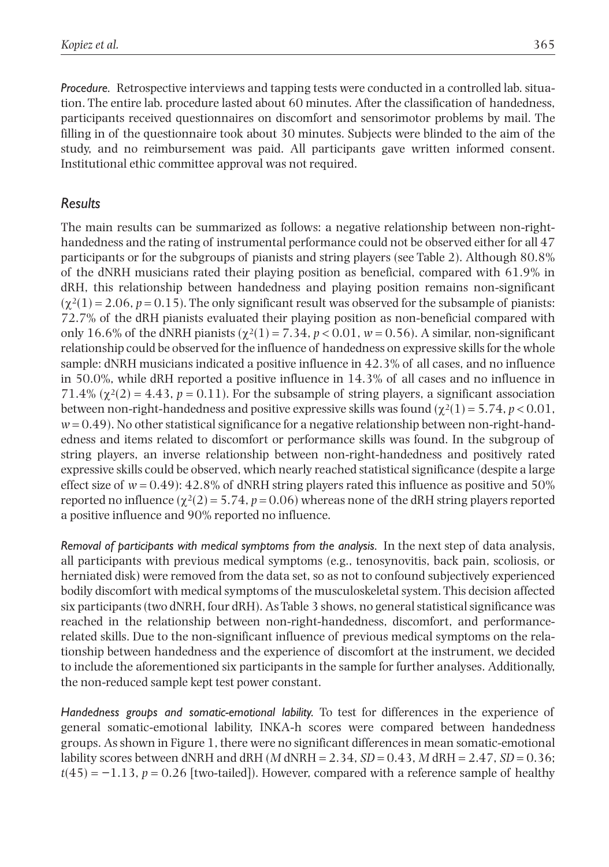*Procedure.* Retrospective interviews and tapping tests were conducted in a controlled lab. situation. The entire lab. procedure lasted about 60 minutes. After the classification of handedness, participants received questionnaires on discomfort and sensorimotor problems by mail. The filling in of the questionnaire took about 30 minutes. Subjects were blinded to the aim of the study, and no reimbursement was paid. All participants gave written informed consent. Institutional ethic committee approval was not required.

# *Results*

The main results can be summarized as follows: a negative relationship between non-righthandedness and the rating of instrumental performance could not be observed either for all 47 participants or for the subgroups of pianists and string players (see Table 2). Although 80.8% of the dNRH musicians rated their playing position as beneficial, compared with 61.9% in dRH, this relationship between handedness and playing position remains non-significant  $(\chi^2(1) = 2.06, p = 0.15)$ . The only significant result was observed for the subsample of pianists: 72.7% of the dRH pianists evaluated their playing position as non-beneficial compared with only 16.6% of the dNRH pianists ( $\chi^2(1) = 7.34$ ,  $p < 0.01$ ,  $w = 0.56$ ). A similar, non-significant relationship could be observed for the influence of handedness on expressive skills for the whole sample: dNRH musicians indicated a positive influence in 42.3% of all cases, and no influence in 50.0%, while dRH reported a positive influence in 14.3% of all cases and no influence in 71.4% ( $\chi^2(2) = 4.43$ ,  $p = 0.11$ ). For the subsample of string players, a significant association between non-right-handedness and positive expressive skills was found  $(\gamma^2(1) = 5.74, p < 0.01,$  $w = 0.49$ ). No other statistical significance for a negative relationship between non-right-handedness and items related to discomfort or performance skills was found. In the subgroup of string players, an inverse relationship between non-right-handedness and positively rated expressive skills could be observed, which nearly reached statistical significance (despite a large effect size of  $w = 0.49$ : 42.8% of dNRH string players rated this influence as positive and 50% reported no influence  $(\chi^2(2) = 5.74, p = 0.06)$  whereas none of the dRH string players reported a positive influence and 90% reported no influence.

*Removal of participants with medical symptoms from the analysis.* In the next step of data analysis, all participants with previous medical symptoms (e.g., tenosynovitis, back pain, scoliosis, or herniated disk) were removed from the data set, so as not to confound subjectively experienced bodily discomfort with medical symptoms of the musculoskeletal system. This decision affected six participants (two dNRH, four dRH). As Table 3 shows, no general statistical significance was reached in the relationship between non-right-handedness, discomfort, and performancerelated skills. Due to the non-significant influence of previous medical symptoms on the relationship between handedness and the experience of discomfort at the instrument, we decided to include the aforementioned six participants in the sample for further analyses. Additionally, the non-reduced sample kept test power constant.

*Handedness groups and somatic-emotional lability.* To test for differences in the experience of general somatic-emotional lability, INKA-h scores were compared between handedness groups. As shown in Figure 1, there were no significant differences in mean somatic-emotional lability scores between dNRH and dRH  $(M \text{ dNRH} = 2.34, SD = 0.43, M \text{ dRH} = 2.47, SD = 0.36;$  $t(45) = -1.13$ ,  $p = 0.26$  [two-tailed]). However, compared with a reference sample of healthy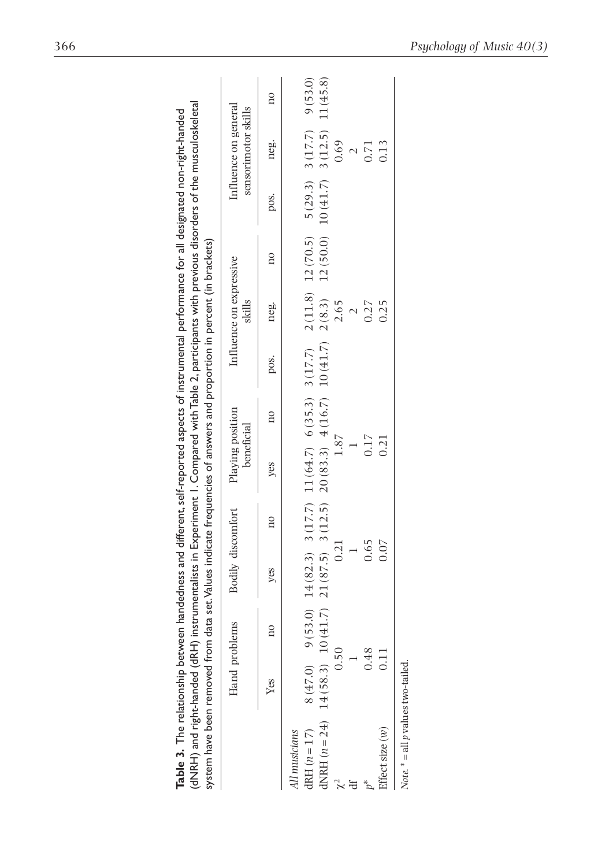| (dNRH) and right-handed (dRH) instrumentalists in Experiment I. Compared with Table 2, participants with previous disorders of the musculoskeletal<br>Table 3. The relationship between handedness and different, self-reported aspects of instrumental performance for all designated non-right-handed<br>system have been removed from data set. Values indicate frequencies of answers and proportion in percent (in brackets) |          |                |                                                                                                        |                |                                |    |      |                                   |                         |                     |                                             |                |
|-----------------------------------------------------------------------------------------------------------------------------------------------------------------------------------------------------------------------------------------------------------------------------------------------------------------------------------------------------------------------------------------------------------------------------------|----------|----------------|--------------------------------------------------------------------------------------------------------|----------------|--------------------------------|----|------|-----------------------------------|-------------------------|---------------------|---------------------------------------------|----------------|
|                                                                                                                                                                                                                                                                                                                                                                                                                                   |          | Hand problems  | Bodily discomfort                                                                                      |                | Playing position<br>beneficial |    |      | Influence on expressive<br>skills |                         |                     | Influence on general<br>sensorimotor skills |                |
|                                                                                                                                                                                                                                                                                                                                                                                                                                   | Yes      | $\overline{a}$ | yes                                                                                                    | $\overline{a}$ | yes                            | no | pos. | neg.                              | $\overline{\mathrm{d}}$ | pos.                | neg.                                        | $\overline{a}$ |
| All musicians                                                                                                                                                                                                                                                                                                                                                                                                                     |          |                |                                                                                                        |                |                                |    |      |                                   |                         |                     |                                             |                |
| $dRH(n=17)$                                                                                                                                                                                                                                                                                                                                                                                                                       | 8 (47.0) |                | $9(53.0)$ 14(82.3) $3(17.7)$ 11(64.7) $6(35.3)$ 3(17.7) $2(11.8)$ 12(70.5) $5(29.3)$ 3(17.7) $9(53.0)$ |                |                                |    |      |                                   |                         |                     |                                             |                |
| $\frac{dNRIR}{dN(4L(7) - 24)}$ 14 (58.3) 10 (41.7) 21 (87.5) 3 (12.5) 20 (83.3) 4 (16.7) 10 (41.7) 2 (8.3)                                                                                                                                                                                                                                                                                                                        |          |                |                                                                                                        |                |                                |    |      |                                   | 12(50.0)                | $10(41.7)$ 3 (12.5) |                                             | 11(45.8)       |
|                                                                                                                                                                                                                                                                                                                                                                                                                                   |          | 0.50           | 0.21                                                                                                   |                | 1.87                           |    |      | 2.65                              |                         |                     | 0.69                                        |                |
|                                                                                                                                                                                                                                                                                                                                                                                                                                   |          |                |                                                                                                        |                |                                |    |      |                                   |                         |                     |                                             |                |
|                                                                                                                                                                                                                                                                                                                                                                                                                                   |          | 0.48           | 0.65                                                                                                   |                | 0.17                           |    |      | 0.27                              |                         |                     | 0.71                                        |                |
| Effect size (w)                                                                                                                                                                                                                                                                                                                                                                                                                   |          | 0.11           | 0.07                                                                                                   |                | 0.21                           |    |      | 0.25                              |                         |                     | 0.13                                        |                |
| Note. $* = all p$ values two-tailed.                                                                                                                                                                                                                                                                                                                                                                                              |          |                |                                                                                                        |                |                                |    |      |                                   |                         |                     |                                             |                |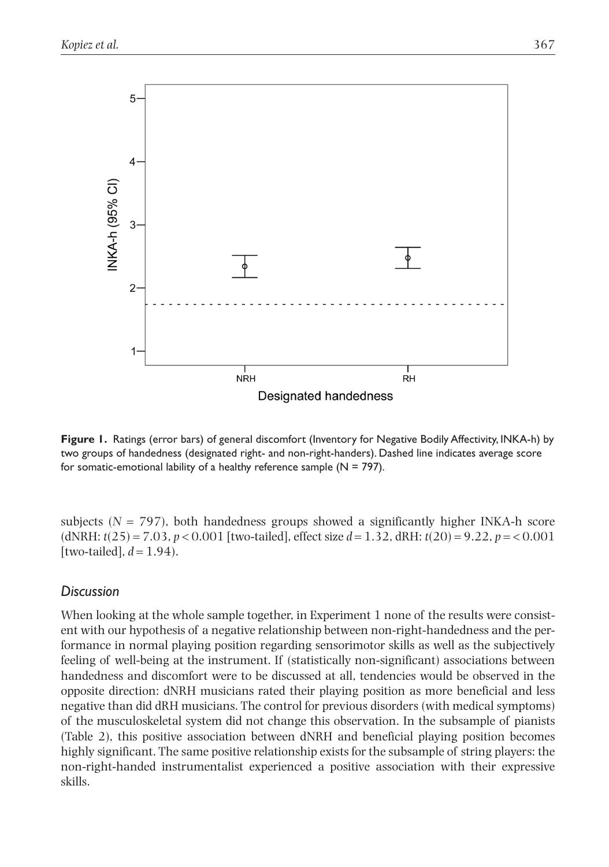

**Figure 1.** Ratings (error bars) of general discomfort (Inventory for Negative Bodily Affectivity, INKA-h) by two groups of handedness (designated right- and non-right-handers). Dashed line indicates average score for somatic-emotional lability of a healthy reference sample ( $N = 797$ ).

subjects ( $N = 797$ ), both handedness groups showed a significantly higher INKA-h score (dNRH:  $t(25) = 7.03$ ,  $p < 0.001$  [two-tailed], effect size  $d = 1.32$ , dRH:  $t(20) = 9.22$ ,  $p = < 0.001$ [two-tailed],  $d = 1.94$ ).

## *Discussion*

When looking at the whole sample together, in Experiment 1 none of the results were consistent with our hypothesis of a negative relationship between non-right-handedness and the performance in normal playing position regarding sensorimotor skills as well as the subjectively feeling of well-being at the instrument. If (statistically non-significant) associations between handedness and discomfort were to be discussed at all, tendencies would be observed in the opposite direction: dNRH musicians rated their playing position as more beneficial and less negative than did dRH musicians. The control for previous disorders (with medical symptoms) of the musculoskeletal system did not change this observation. In the subsample of pianists (Table 2), this positive association between dNRH and beneficial playing position becomes highly significant. The same positive relationship exists for the subsample of string players: the non-right-handed instrumentalist experienced a positive association with their expressive skills.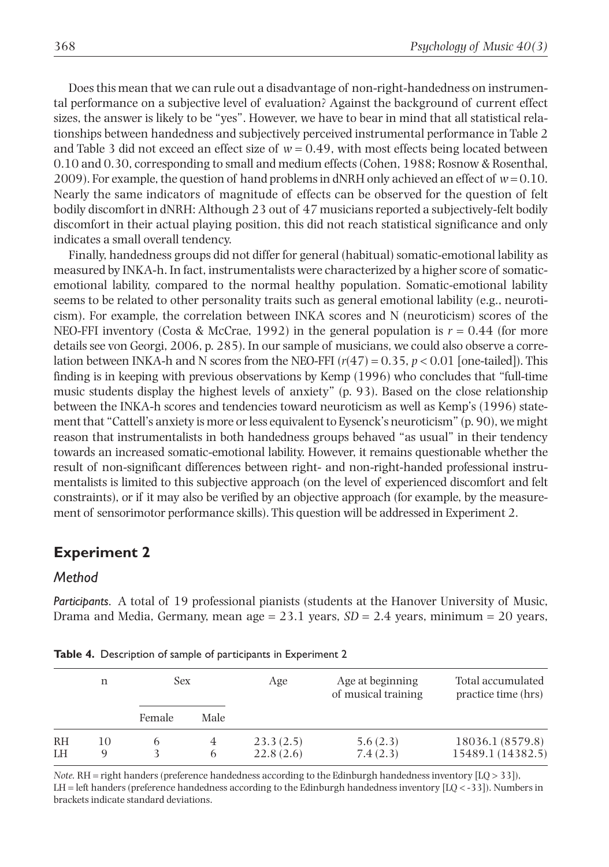Does this mean that we can rule out a disadvantage of non-right-handedness on instrumental performance on a subjective level of evaluation? Against the background of current effect sizes, the answer is likely to be "yes". However, we have to bear in mind that all statistical relationships between handedness and subjectively perceived instrumental performance in Table 2 and Table 3 did not exceed an effect size of  $w = 0.49$ , with most effects being located between 0.10 and 0.30, corresponding to small and medium effects (Cohen, 1988; Rosnow & Rosenthal, 2009). For example, the question of hand problems in dNRH only achieved an effect of  $w = 0.10$ . Nearly the same indicators of magnitude of effects can be observed for the question of felt bodily discomfort in dNRH: Although 23 out of 47 musicians reported a subjectively-felt bodily discomfort in their actual playing position, this did not reach statistical significance and only indicates a small overall tendency.

Finally, handedness groups did not differ for general (habitual) somatic-emotional lability as measured by INKA-h. In fact, instrumentalists were characterized by a higher score of somaticemotional lability, compared to the normal healthy population. Somatic-emotional lability seems to be related to other personality traits such as general emotional lability (e.g., neuroticism). For example, the correlation between INKA scores and N (neuroticism) scores of the NEO-FFI inventory (Costa & McCrae, 1992) in the general population is  $r = 0.44$  (for more details see von Georgi, 2006, p. 285). In our sample of musicians, we could also observe a correlation between INKA-h and N scores from the NEO-FFI  $(r(47) = 0.35, p < 0.01$  [one-tailed]). This finding is in keeping with previous observations by Kemp (1996) who concludes that "full-time music students display the highest levels of anxiety" (p. 93). Based on the close relationship between the INKA-h scores and tendencies toward neuroticism as well as Kemp's (1996) statement that "Cattell's anxiety is more or less equivalent to Eysenck's neuroticism" (p. 90), we might reason that instrumentalists in both handedness groups behaved "as usual" in their tendency towards an increased somatic-emotional lability. However, it remains questionable whether the result of non-significant differences between right- and non-right-handed professional instrumentalists is limited to this subjective approach (on the level of experienced discomfort and felt constraints), or if it may also be verified by an objective approach (for example, by the measurement of sensorimotor performance skills). This question will be addressed in Experiment 2.

## **Experiment 2**

### *Method*

|  | Participants. A total of 19 professional pianists (students at the Hanover University of Music, |  |  |  |  |
|--|-------------------------------------------------------------------------------------------------|--|--|--|--|
|  | Drama and Media, Germany, mean age = $23.1$ years, $SD = 2.4$ years, minimum = $20$ years,      |  |  |  |  |

|          | n  | Sex    |        | Age                    | Age at beginning<br>of musical training | Total accumulated<br>practice time (hrs) |
|----------|----|--------|--------|------------------------|-----------------------------------------|------------------------------------------|
|          |    | Female | Male   |                        |                                         |                                          |
| RH<br>LH | 10 |        | 4<br>h | 23.3(2.5)<br>22.8(2.6) | 5.6(2.3)<br>7.4(2.3)                    | 18036.1 (8579.8)<br>15489.1 (14382.5)    |

**Table 4.** Description of sample of participants in Experiment 2

*Note.* RH = right handers (preference handedness according to the Edinburgh handedness inventory [LQ > 33]), LH = left handers (preference handedness according to the Edinburgh handedness inventory  $[LQ < -33]$ ). Numbers in brackets indicate standard deviations.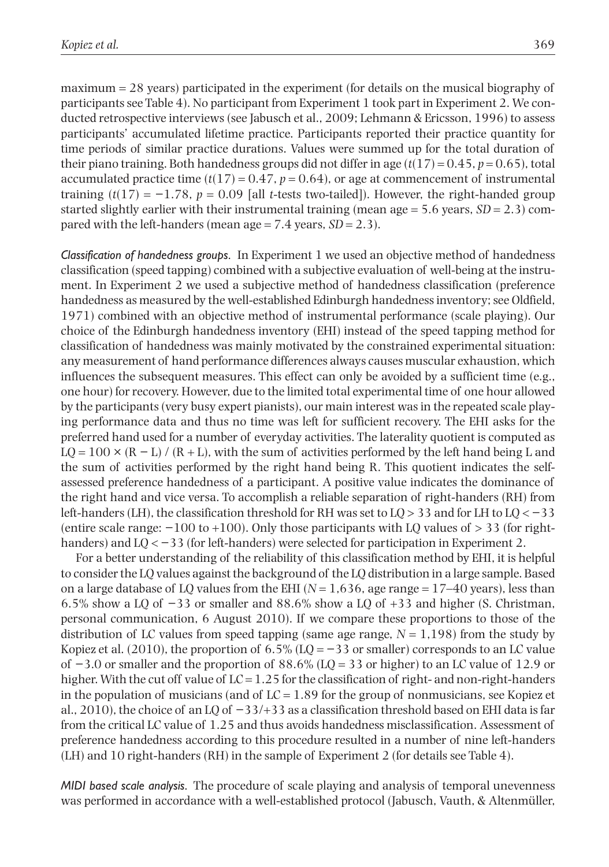$maximum = 28$  years) participated in the experiment (for details on the musical biography of participants see Table 4). No participant from Experiment 1 took part in Experiment 2. We con-

ducted retrospective interviews (see Jabusch et al., 2009; Lehmann & Ericsson, 1996) to assess participants' accumulated lifetime practice. Participants reported their practice quantity for time periods of similar practice durations. Values were summed up for the total duration of their piano training. Both handedness groups did not differ in age  $(t(17) = 0.45, p = 0.65)$ , total accumulated practice time  $(t(17) = 0.47, p = 0.64)$ , or age at commencement of instrumental training  $(t(17) = -1.78$ ,  $p = 0.09$  [all *t*-tests two-tailed]). However, the right-handed group started slightly earlier with their instrumental training (mean age  $= 5.6$  years,  $SD = 2.3$ ) compared with the left-handers (mean age  $= 7.4$  years,  $SD = 2.3$ ).

*Classification of handedness groups.* In Experiment 1 we used an objective method of handedness classification (speed tapping) combined with a subjective evaluation of well-being at the instrument. In Experiment 2 we used a subjective method of handedness classification (preference handedness as measured by the well-established Edinburgh handedness inventory; see Oldfield, 1971) combined with an objective method of instrumental performance (scale playing). Our choice of the Edinburgh handedness inventory (EHI) instead of the speed tapping method for classification of handedness was mainly motivated by the constrained experimental situation: any measurement of hand performance differences always causes muscular exhaustion, which influences the subsequent measures. This effect can only be avoided by a sufficient time (e.g., one hour) for recovery. However, due to the limited total experimental time of one hour allowed by the participants (very busy expert pianists), our main interest was in the repeated scale playing performance data and thus no time was left for sufficient recovery. The EHI asks for the preferred hand used for a number of everyday activities. The laterality quotient is computed as  $LO = 100 \times (R - L) / (R + L)$ , with the sum of activities performed by the left hand being L and the sum of activities performed by the right hand being R. This quotient indicates the selfassessed preference handedness of a participant. A positive value indicates the dominance of the right hand and vice versa. To accomplish a reliable separation of right-handers (RH) from left-handers (LH), the classification threshold for RH was set to LO > 33 and for LH to LO  $<-33$ (entire scale range:  $-100$  to  $+100$ ). Only those participants with LO values of  $> 33$  (for righthanders) and  $LQ < -33$  (for left-handers) were selected for participation in Experiment 2.

For a better understanding of the reliability of this classification method by EHI, it is helpful to consider the LQ values against the background of the LQ distribution in a large sample. Based on a large database of LQ values from the EHI  $(N = 1.636$ , age range  $= 17-40$  years), less than 6.5% show a LQ of  $-33$  or smaller and 88.6% show a LQ of +33 and higher (S. Christman, personal communication, 6 August 2010). If we compare these proportions to those of the distribution of LC values from speed tapping (same age range,  $N = 1,198$ ) from the study by Kopiez et al. (2010), the proportion of  $6.5\%$  (LQ =  $-33$  or smaller) corresponds to an LC value of −3.0 or smaller and the proportion of 88.6% (LQ 33 or higher) to an LC value of 12.9 or higher. With the cut off value of  $LC = 1.25$  for the classification of right- and non-right-handers in the population of musicians (and of  $LC = 1.89$  for the group of nonmusicians, see Kopiez et al., 2010), the choice of an LQ of  $-33/33$  as a classification threshold based on EHI data is far from the critical LC value of 1.25 and thus avoids handedness misclassification. Assessment of preference handedness according to this procedure resulted in a number of nine left-handers (LH) and 10 right-handers (RH) in the sample of Experiment 2 (for details see Table 4).

*MIDI based scale analysis.* The procedure of scale playing and analysis of temporal unevenness was performed in accordance with a well-established protocol (Jabusch, Vauth, & Altenmüller,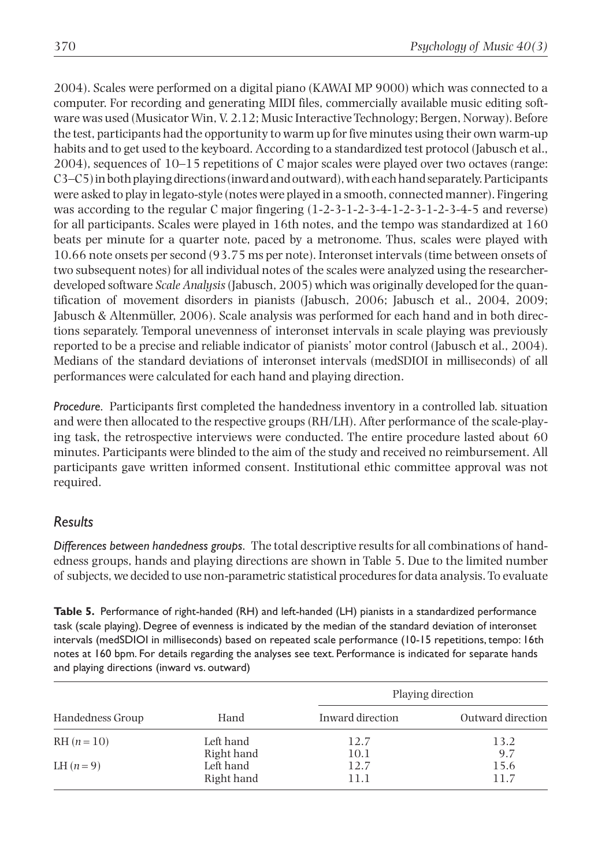2004). Scales were performed on a digital piano (KAWAI MP 9000) which was connected to a computer. For recording and generating MIDI files, commercially available music editing software was used (Musicator Win, V. 2.12; Music Interactive Technology; Bergen, Norway). Before the test, participants had the opportunity to warm up for five minutes using their own warm-up habits and to get used to the keyboard. According to a standardized test protocol (Jabusch et al., 2004), sequences of 10–15 repetitions of C major scales were played over two octaves (range: C3–C5) in both playing directions (inward and outward), with each hand separately. Participants were asked to play in legato-style (notes were played in a smooth, connected manner). Fingering was according to the regular C major fingering (1-2-3-1-2-3-4-1-2-3-1-2-3-4-5 and reverse) for all participants. Scales were played in 16th notes, and the tempo was standardized at 160 beats per minute for a quarter note, paced by a metronome. Thus, scales were played with 10.66 note onsets per second (93.75 ms per note). Interonset intervals (time between onsets of two subsequent notes) for all individual notes of the scales were analyzed using the researcherdeveloped software *Scale Analysis* (Jabusch, 2005) which was originally developed for the quantification of movement disorders in pianists (Jabusch, 2006; Jabusch et al., 2004, 2009; Jabusch & Altenmüller, 2006). Scale analysis was performed for each hand and in both directions separately. Temporal unevenness of interonset intervals in scale playing was previously reported to be a precise and reliable indicator of pianists' motor control (Jabusch et al., 2004). Medians of the standard deviations of interonset intervals (medSDIOI in milliseconds) of all performances were calculated for each hand and playing direction.

*Procedure.* Participants first completed the handedness inventory in a controlled lab. situation and were then allocated to the respective groups (RH/LH). After performance of the scale-playing task, the retrospective interviews were conducted. The entire procedure lasted about 60 minutes. Participants were blinded to the aim of the study and received no reimbursement. All participants gave written informed consent. Institutional ethic committee approval was not required.

# *Results*

*Differences between handedness groups.* The total descriptive results for all combinations of handedness groups, hands and playing directions are shown in Table 5. Due to the limited number of subjects, we decided to use non-parametric statistical procedures for data analysis. To evaluate

**Table 5.** Performance of right-handed (RH) and left-handed (LH) pianists in a standardized performance task (scale playing). Degree of evenness is indicated by the median of the standard deviation of interonset intervals (medSDIOI in milliseconds) based on repeated scale performance (10-15 repetitions, tempo: 16th notes at 160 bpm. For details regarding the analyses see text. Performance is indicated for separate hands and playing directions (inward vs. outward)

|                  |            |                  | Playing direction |
|------------------|------------|------------------|-------------------|
| Handedness Group | Hand       | Inward direction | Outward direction |
| $RH (n = 10)$    | Left hand  | 12.7             | 13.2              |
|                  | Right hand | 10.1             | 9.7               |
| LH $(n=9)$       | Left hand  | 12.7             | 15.6              |
|                  | Right hand | 11.1             | 11.7              |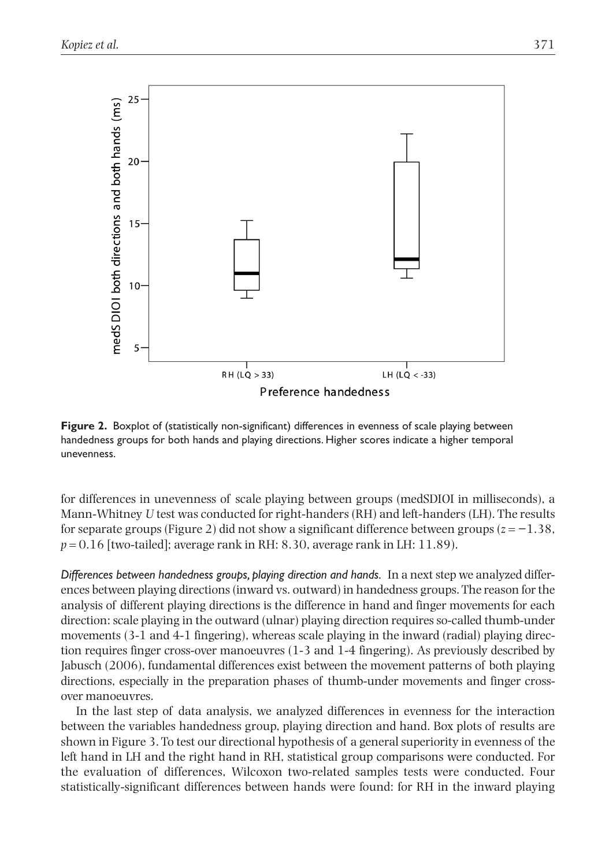

**Figure 2.** Boxplot of (statistically non-significant) differences in evenness of scale playing between handedness groups for both hands and playing directions. Higher scores indicate a higher temporal unevenness.

for differences in unevenness of scale playing between groups (medSDIOI in milliseconds), a Mann-Whitney *U* test was conducted for right-handers (RH) and left-handers (LH). The results for separate groups (Figure 2) did not show a significant difference between groups (*z* −1.38,  $p = 0.16$  [two-tailed]; average rank in RH: 8.30, average rank in LH: 11.89).

*Differences between handedness groups, playing direction and hands.* In a next step we analyzed differences between playing directions (inward vs. outward) in handedness groups. The reason for the analysis of different playing directions is the difference in hand and finger movements for each direction: scale playing in the outward (ulnar) playing direction requires so-called thumb-under movements (3-1 and 4-1 fingering), whereas scale playing in the inward (radial) playing direction requires finger cross-over manoeuvres (1-3 and 1-4 fingering). As previously described by Jabusch (2006), fundamental differences exist between the movement patterns of both playing directions, especially in the preparation phases of thumb-under movements and finger crossover manoeuvres.

In the last step of data analysis, we analyzed differences in evenness for the interaction between the variables handedness group, playing direction and hand. Box plots of results are shown in Figure 3. To test our directional hypothesis of a general superiority in evenness of the left hand in LH and the right hand in RH, statistical group comparisons were conducted. For the evaluation of differences, Wilcoxon two-related samples tests were conducted. Four statistically-significant differences between hands were found: for RH in the inward playing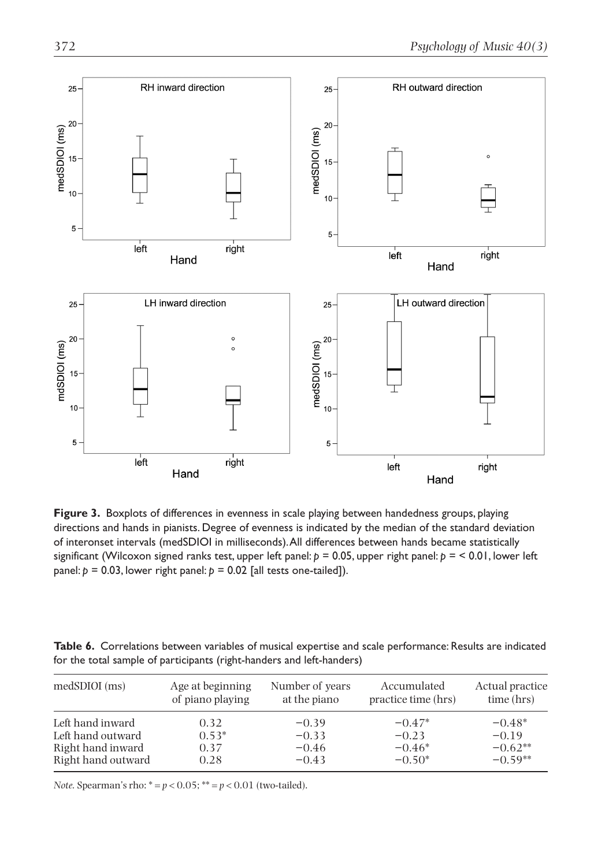

**Figure 3.** Boxplots of differences in evenness in scale playing between handedness groups, playing directions and hands in pianists. Degree of evenness is indicated by the median of the standard deviation of interonset intervals (medSDIOI in milliseconds). All differences between hands became statistically significant (Wilcoxon signed ranks test, upper left panel: *p* = 0.05, upper right panel: *p* = < 0.01, lower left panel:  $p = 0.03$ , lower right panel:  $p = 0.02$  [all tests one-tailed]).

| Table 6. Correlations between variables of musical expertise and scale performance: Results are indicated |  |  |  |  |  |
|-----------------------------------------------------------------------------------------------------------|--|--|--|--|--|
| for the total sample of participants (right-handers and left-handers)                                     |  |  |  |  |  |

| medSDIOI (ms)      | Age at beginning<br>of piano playing | Number of years<br>at the piano | Accumulated<br>practice time (hrs) | Actual practice<br>time (hrs) |
|--------------------|--------------------------------------|---------------------------------|------------------------------------|-------------------------------|
| Left hand inward   | 0.32                                 | $-0.39$                         | $-0.47*$                           | $-0.48*$                      |
| Left hand outward  | $0.53*$                              | $-0.33$                         | $-0.23$                            | $-0.19$                       |
| Right hand inward  | 0.37                                 | $-0.46$                         | $-0.46*$                           | $-0.62**$                     |
| Right hand outward | 0.28                                 | $-0.43$                         | $-0.50*$                           | $-0.59**$                     |

*Note.* Spearman's rho:  $* = p < 0.05$ ;  $** = p < 0.01$  (two-tailed).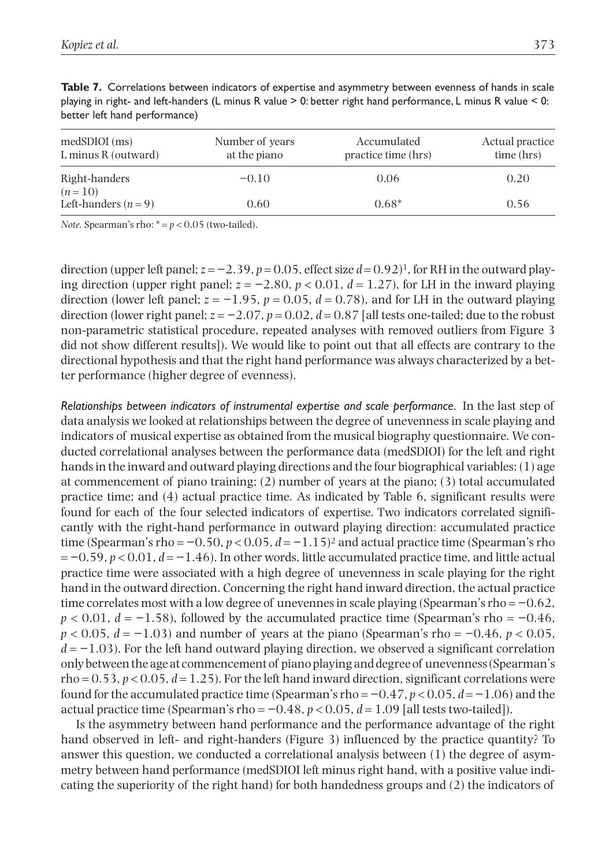| $medSDIOI$ (ms)<br>L minus R (outward) | Number of years<br>at the piano | Accumulated<br>practice time (hrs) | Actual practice<br>time (hrs) |
|----------------------------------------|---------------------------------|------------------------------------|-------------------------------|
| Right-handers                          | $-0.10$                         | 0.06                               | 0.20                          |
| $(n=10)$<br>Left-handers $(n=9)$       | 0.60                            | $0.68*$                            | 0.56                          |

**Table 7.** Correlations between indicators of expertise and asymmetry between evenness of hands in scale playing in right- and left-handers (L minus R value > 0: better right hand performance, L minus R value < 0: better left hand performance)

*Note.* Spearman's rho:  $* = p < 0.05$  (two-tailed).

direction (upper left panel;  $z = -2.39$ ,  $p = 0.05$ , effect size  $d = 0.92$ )<sup>1</sup>, for RH in the outward playing direction (upper right panel;  $z = -2.80$ ,  $p < 0.01$ ,  $d = 1.27$ ), for LH in the inward playing direction (lower left panel;  $z = -1.95$ ,  $p = 0.05$ ,  $d = 0.78$ ), and for LH in the outward playing direction (lower right panel;  $z = -2.07$ ,  $p = 0.02$ ,  $d = 0.87$  [all tests one-tailed; due to the robust non-parametric statistical procedure, repeated analyses with removed outliers from Figure 3 did not show different results]). We would like to point out that all effects are contrary to the directional hypothesis and that the right hand performance was always characterized by a better performance (higher degree of evenness).

*Relationships between indicators of instrumental expertise and scale performance.* In the last step of data analysis we looked at relationships between the degree of unevenness in scale playing and indicators of musical expertise as obtained from the musical biography questionnaire. We conducted correlational analyses between the performance data (medSDIOI) for the left and right hands in the inward and outward playing directions and the four biographical variables: (1) age at commencement of piano training; (2) number of years at the piano; (3) total accumulated practice time; and (4) actual practice time. As indicated by Table 6, significant results were found for each of the four selected indicators of expertise. Two indicators correlated significantly with the right-hand performance in outward playing direction: accumulated practice time (Spearman's rho =  $-0.50$ ,  $p < 0.05$ ,  $d = -1.15$ )<sup>2</sup> and actual practice time (Spearman's rho  $=$  −0.59, *p* < 0.01, *d* = −1.46). In other words, little accumulated practice time, and little actual practice time were associated with a high degree of unevenness in scale playing for the right hand in the outward direction. Concerning the right hand inward direction, the actual practice time correlates most with a low degree of unevennes in scale playing (Spearman's rho =  $-0.62$ ,  $p < 0.01$ ,  $d = -1.58$ ), followed by the accumulated practice time (Spearman's rho =  $-0.46$ , *p* < 0.05, *d* = −1.03) and number of years at the piano (Spearman's rho = −0.46, *p* < 0.05, *d* = −1.03). For the left hand outward playing direction, we observed a significant correlation only between the age at commencement of piano playing and degree of unevenness (Spearman's  $rho = 0.53$ ,  $p < 0.05$ ,  $d = 1.25$ ). For the left hand inward direction, significant correlations were found for the accumulated practice time (Spearman's rho =  $-0.47$ ,  $p < 0.05$ ,  $d = -1.06$ ) and the actual practice time (Spearman's rho =  $-0.48$ ,  $p < 0.05$ ,  $d = 1.09$  [all tests two-tailed]).

Is the asymmetry between hand performance and the performance advantage of the right hand observed in left- and right-handers (Figure 3) influenced by the practice quantity? To answer this question, we conducted a correlational analysis between (1) the degree of asymmetry between hand performance (medSDIOI left minus right hand, with a positive value indicating the superiority of the right hand) for both handedness groups and (2) the indicators of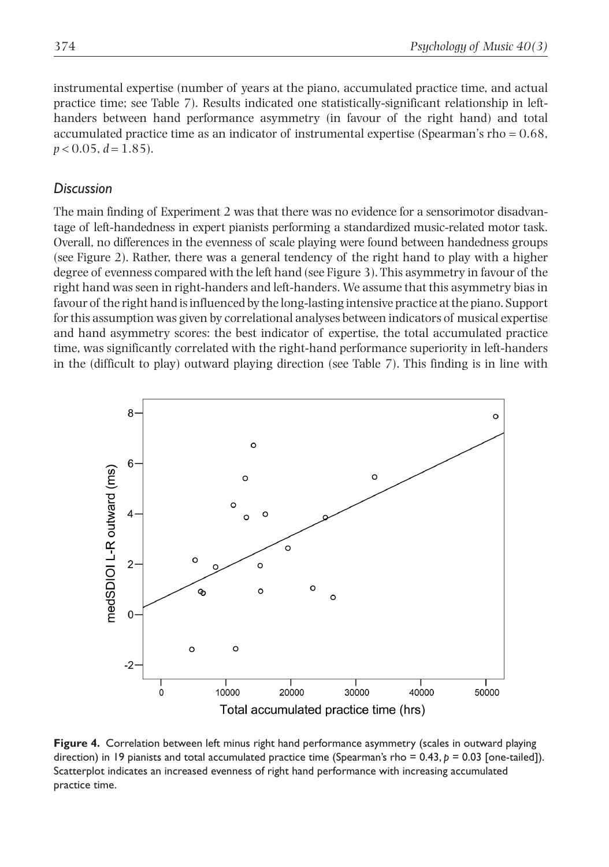instrumental expertise (number of years at the piano, accumulated practice time, and actual practice time; see Table 7). Results indicated one statistically-significant relationship in lefthanders between hand performance asymmetry (in favour of the right hand) and total accumulated practice time as an indicator of instrumental expertise (Spearman's  $rho = 0.68$ ,  $p < 0.05$ ,  $d = 1.85$ ).

## *Discussion*

The main finding of Experiment 2 was that there was no evidence for a sensorimotor disadvantage of left-handedness in expert pianists performing a standardized music-related motor task. Overall, no differences in the evenness of scale playing were found between handedness groups (see Figure 2). Rather, there was a general tendency of the right hand to play with a higher degree of evenness compared with the left hand (see Figure 3). This asymmetry in favour of the right hand was seen in right-handers and left-handers. We assume that this asymmetry bias in favour of the right hand is influenced by the long-lasting intensive practice at the piano. Support for this assumption was given by correlational analyses between indicators of musical expertise and hand asymmetry scores: the best indicator of expertise, the total accumulated practice time, was significantly correlated with the right-hand performance superiority in left-handers in the (difficult to play) outward playing direction (see Table 7). This finding is in line with



**Figure 4.** Correlation between left minus right hand performance asymmetry (scales in outward playing direction) in 19 pianists and total accumulated practice time (Spearman's rho = 0.43, *p* = 0.03 [one-tailed]). Scatterplot indicates an increased evenness of right hand performance with increasing accumulated practice time.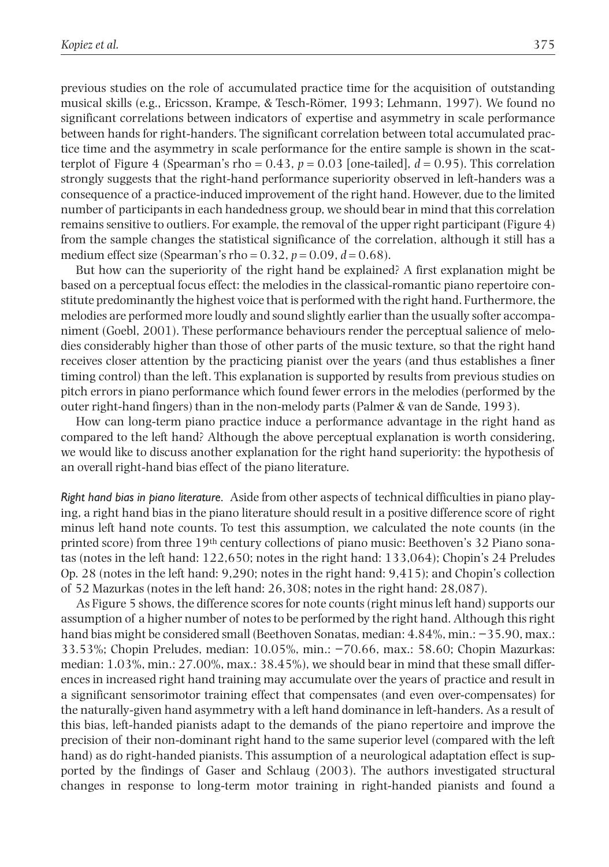previous studies on the role of accumulated practice time for the acquisition of outstanding musical skills (e.g., Ericsson, Krampe, & Tesch-Römer, 1993; Lehmann, 1997). We found no significant correlations between indicators of expertise and asymmetry in scale performance between hands for right-handers. The significant correlation between total accumulated practice time and the asymmetry in scale performance for the entire sample is shown in the scatterplot of Figure 4 (Spearman's rho =  $0.43$ ,  $p = 0.03$  [one-tailed],  $d = 0.95$ ). This correlation strongly suggests that the right-hand performance superiority observed in left-handers was a consequence of a practice-induced improvement of the right hand. However, due to the limited number of participants in each handedness group, we should bear in mind that this correlation remains sensitive to outliers. For example, the removal of the upper right participant (Figure 4) from the sample changes the statistical significance of the correlation, although it still has a medium effect size (Spearman's rho =  $0.32$ ,  $p = 0.09$ ,  $d = 0.68$ ).

But how can the superiority of the right hand be explained? A first explanation might be based on a perceptual focus effect: the melodies in the classical-romantic piano repertoire constitute predominantly the highest voice that is performed with the right hand. Furthermore, the melodies are performed more loudly and sound slightly earlier than the usually softer accompaniment (Goebl, 2001). These performance behaviours render the perceptual salience of melodies considerably higher than those of other parts of the music texture, so that the right hand receives closer attention by the practicing pianist over the years (and thus establishes a finer timing control) than the left. This explanation is supported by results from previous studies on pitch errors in piano performance which found fewer errors in the melodies (performed by the outer right-hand fingers) than in the non-melody parts (Palmer & van de Sande, 1993).

How can long-term piano practice induce a performance advantage in the right hand as compared to the left hand? Although the above perceptual explanation is worth considering, we would like to discuss another explanation for the right hand superiority: the hypothesis of an overall right-hand bias effect of the piano literature.

*Right hand bias in piano literature.* Aside from other aspects of technical difficulties in piano playing, a right hand bias in the piano literature should result in a positive difference score of right minus left hand note counts. To test this assumption, we calculated the note counts (in the printed score) from three 19th century collections of piano music: Beethoven's 32 Piano sonatas (notes in the left hand: 122,650; notes in the right hand: 133,064); Chopin's 24 Preludes Op. 28 (notes in the left hand: 9,290; notes in the right hand: 9,415); and Chopin's collection of 52 Mazurkas (notes in the left hand: 26,308; notes in the right hand: 28,087).

As Figure 5 shows, the difference scores for note counts (right minus left hand) supports our assumption of a higher number of notes to be performed by the right hand. Although this right hand bias might be considered small (Beethoven Sonatas, median: 4.84%, min.: −35.90, max.: 33.53%; Chopin Preludes, median: 10.05%, min.: −70.66, max.: 58.60; Chopin Mazurkas: median: 1.03%, min.: 27.00%, max.: 38.45%), we should bear in mind that these small differences in increased right hand training may accumulate over the years of practice and result in a significant sensorimotor training effect that compensates (and even over-compensates) for the naturally-given hand asymmetry with a left hand dominance in left-handers. As a result of this bias, left-handed pianists adapt to the demands of the piano repertoire and improve the precision of their non-dominant right hand to the same superior level (compared with the left hand) as do right-handed pianists. This assumption of a neurological adaptation effect is supported by the findings of Gaser and Schlaug (2003). The authors investigated structural changes in response to long-term motor training in right-handed pianists and found a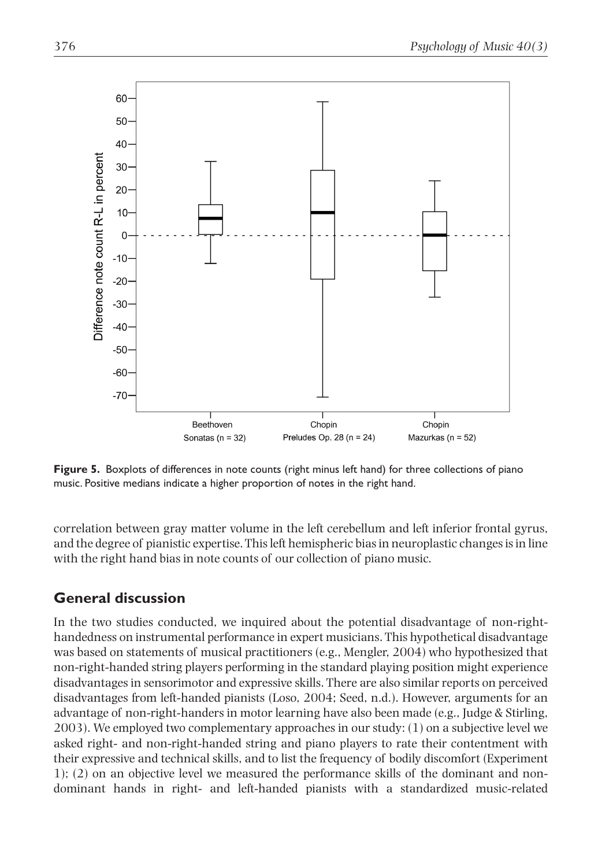

**Figure 5.** Boxplots of differences in note counts (right minus left hand) for three collections of piano music. Positive medians indicate a higher proportion of notes in the right hand.

correlation between gray matter volume in the left cerebellum and left inferior frontal gyrus, and the degree of pianistic expertise. This left hemispheric bias in neuroplastic changes is in line with the right hand bias in note counts of our collection of piano music.

# **General discussion**

In the two studies conducted, we inquired about the potential disadvantage of non-righthandedness on instrumental performance in expert musicians. This hypothetical disadvantage was based on statements of musical practitioners (e.g., Mengler, 2004) who hypothesized that non-right-handed string players performing in the standard playing position might experience disadvantages in sensorimotor and expressive skills. There are also similar reports on perceived disadvantages from left-handed pianists (Loso, 2004; Seed, n.d.). However, arguments for an advantage of non-right-handers in motor learning have also been made (e.g., Judge & Stirling, 2003). We employed two complementary approaches in our study: (1) on a subjective level we asked right- and non-right-handed string and piano players to rate their contentment with their expressive and technical skills, and to list the frequency of bodily discomfort (Experiment 1); (2) on an objective level we measured the performance skills of the dominant and nondominant hands in right- and left-handed pianists with a standardized music-related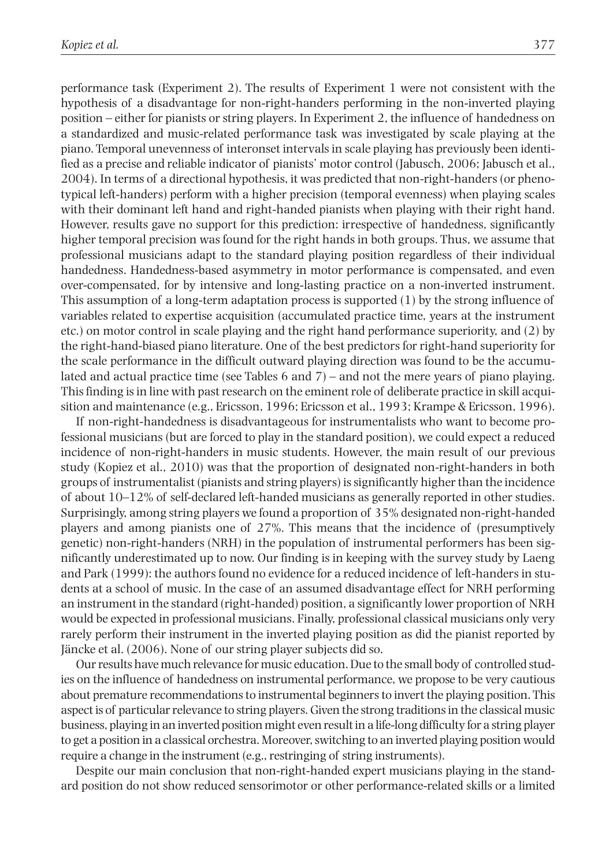performance task (Experiment 2). The results of Experiment 1 were not consistent with the hypothesis of a disadvantage for non-right-handers performing in the non-inverted playing position – either for pianists or string players. In Experiment 2, the influence of handedness on a standardized and music-related performance task was investigated by scale playing at the piano. Temporal unevenness of interonset intervals in scale playing has previously been identified as a precise and reliable indicator of pianists' motor control (Jabusch, 2006; Jabusch et al., 2004). In terms of a directional hypothesis, it was predicted that non-right-handers (or phenotypical left-handers) perform with a higher precision (temporal evenness) when playing scales with their dominant left hand and right-handed pianists when playing with their right hand. However, results gave no support for this prediction: irrespective of handedness, significantly higher temporal precision was found for the right hands in both groups. Thus, we assume that professional musicians adapt to the standard playing position regardless of their individual handedness. Handedness-based asymmetry in motor performance is compensated, and even over-compensated, for by intensive and long-lasting practice on a non-inverted instrument. This assumption of a long-term adaptation process is supported (1) by the strong influence of variables related to expertise acquisition (accumulated practice time, years at the instrument etc.) on motor control in scale playing and the right hand performance superiority, and (2) by the right-hand-biased piano literature. One of the best predictors for right-hand superiority for the scale performance in the difficult outward playing direction was found to be the accumulated and actual practice time (see Tables 6 and 7) – and not the mere years of piano playing. This finding is in line with past research on the eminent role of deliberate practice in skill acquisition and maintenance (e.g., Ericsson, 1996; Ericsson et al., 1993; Krampe & Ericsson, 1996).

If non-right-handedness is disadvantageous for instrumentalists who want to become professional musicians (but are forced to play in the standard position), we could expect a reduced incidence of non-right-handers in music students. However, the main result of our previous study (Kopiez et al., 2010) was that the proportion of designated non-right-handers in both groups of instrumentalist (pianists and string players) is significantly higher than the incidence of about 10–12% of self-declared left-handed musicians as generally reported in other studies. Surprisingly, among string players we found a proportion of 35% designated non-right-handed players and among pianists one of 27%. This means that the incidence of (presumptively genetic) non-right-handers (NRH) in the population of instrumental performers has been significantly underestimated up to now. Our finding is in keeping with the survey study by Laeng and Park (1999): the authors found no evidence for a reduced incidence of left-handers in students at a school of music. In the case of an assumed disadvantage effect for NRH performing an instrument in the standard (right-handed) position, a significantly lower proportion of NRH would be expected in professional musicians. Finally, professional classical musicians only very rarely perform their instrument in the inverted playing position as did the pianist reported by Jäncke et al. (2006). None of our string player subjects did so.

Our results have much relevance for music education. Due to the small body of controlled studies on the influence of handedness on instrumental performance, we propose to be very cautious about premature recommendations to instrumental beginners to invert the playing position. This aspect is of particular relevance to string players. Given the strong traditions in the classical music business, playing in an inverted position might even result in a life-long difficulty for a string player to get a position in a classical orchestra. Moreover, switching to an inverted playing position would require a change in the instrument (e.g., restringing of string instruments).

Despite our main conclusion that non-right-handed expert musicians playing in the standard position do not show reduced sensorimotor or other performance-related skills or a limited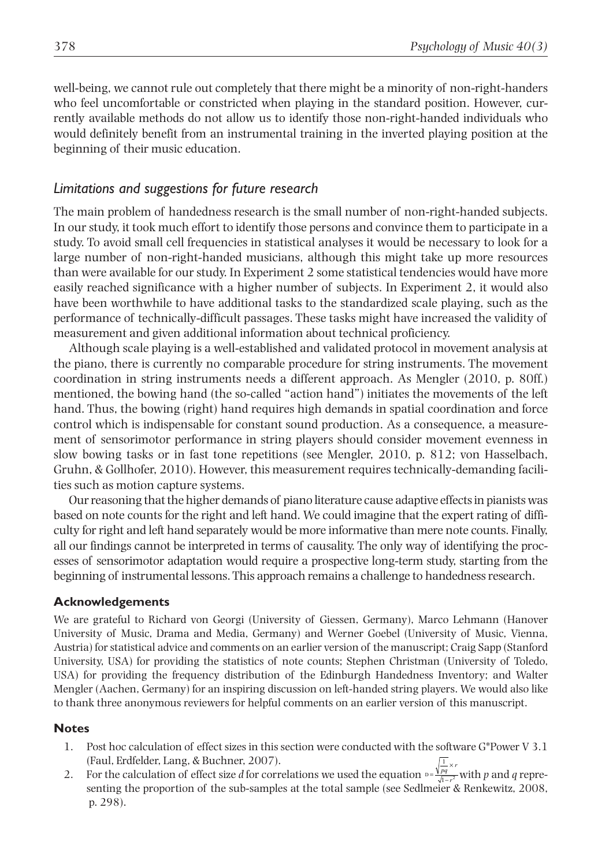well-being, we cannot rule out completely that there might be a minority of non-right-handers who feel uncomfortable or constricted when playing in the standard position. However, currently available methods do not allow us to identify those non-right-handed individuals who would definitely benefit from an instrumental training in the inverted playing position at the beginning of their music education.

### *Limitations and suggestions for future research*

The main problem of handedness research is the small number of non-right-handed subjects. In our study, it took much effort to identify those persons and convince them to participate in a study. To avoid small cell frequencies in statistical analyses it would be necessary to look for a large number of non-right-handed musicians, although this might take up more resources than were available for our study. In Experiment 2 some statistical tendencies would have more easily reached significance with a higher number of subjects. In Experiment 2, it would also have been worthwhile to have additional tasks to the standardized scale playing, such as the performance of technically-difficult passages. These tasks might have increased the validity of measurement and given additional information about technical proficiency.

Although scale playing is a well-established and validated protocol in movement analysis at the piano, there is currently no comparable procedure for string instruments. The movement coordination in string instruments needs a different approach. As Mengler (2010, p. 80ff.) mentioned, the bowing hand (the so-called "action hand") initiates the movements of the left hand. Thus, the bowing (right) hand requires high demands in spatial coordination and force control which is indispensable for constant sound production. As a consequence, a measurement of sensorimotor performance in string players should consider movement evenness in slow bowing tasks or in fast tone repetitions (see Mengler, 2010, p. 812; von Hasselbach, Gruhn, & Gollhofer, 2010). However, this measurement requires technically-demanding facilities such as motion capture systems.

Our reasoning that the higher demands of piano literature cause adaptive effects in pianists was based on note counts for the right and left hand. We could imagine that the expert rating of difficulty for right and left hand separately would be more informative than mere note counts. Finally, all our findings cannot be interpreted in terms of causality. The only way of identifying the processes of sensorimotor adaptation would require a prospective long-term study, starting from the beginning of instrumental lessons. This approach remains a challenge to handedness research.

#### **Acknowledgements**

We are grateful to Richard von Georgi (University of Giessen, Germany), Marco Lehmann (Hanover University of Music, Drama and Media, Germany) and Werner Goebel (University of Music, Vienna, Austria) for statistical advice and comments on an earlier version of the manuscript; Craig Sapp (Stanford University, USA) for providing the statistics of note counts; Stephen Christman (University of Toledo, USA) for providing the frequency distribution of the Edinburgh Handedness Inventory; and Walter Mengler (Aachen, Germany) for an inspiring discussion on left-handed string players. We would also like to thank three anonymous reviewers for helpful comments on an earlier version of this manuscript.

#### **Notes**

- 1. Post hoc calculation of effect sizes in this section were conducted with the software G\*Power V 3.1 (Faul, Erdfelder, Lang, & Buchner, 2007).
- 2. For the calculation of effect size *d* for correlations we used the equation  $\frac{v \cdot pq}{\sqrt{1-\epsilon}}$  $\frac{1}{pq} \times r$ <br> $\sqrt{1-r^2}$  $\frac{\frac{1}{pq} \times r}{1-r^2}$  with *p* and *q* representing the proportion of the sub-samples at the total sample (see Sedlmeier & Renkewitz, 2008, p. 298).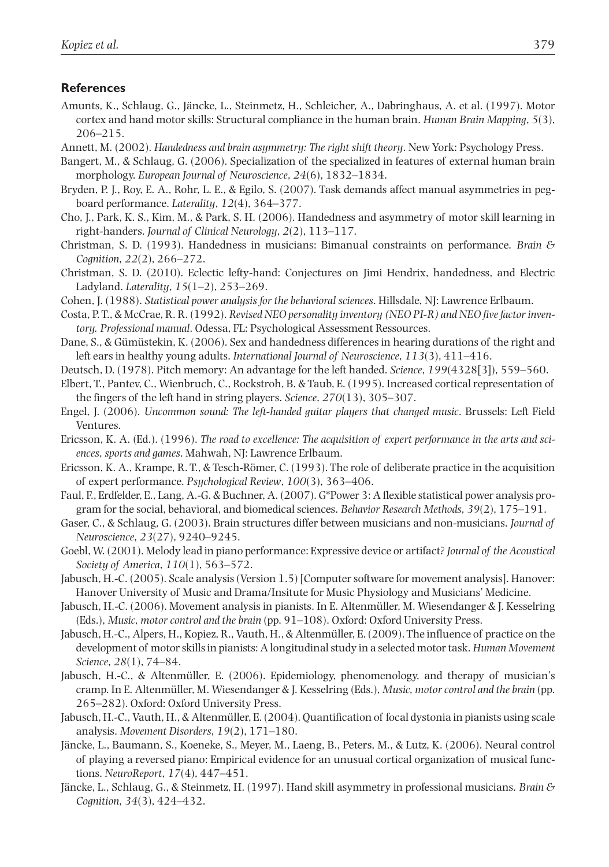### **References**

- Amunts, K., Schlaug, G., Jäncke, L., Steinmetz, H., Schleicher, A., Dabringhaus, A. et al. (1997). Motor cortex and hand motor skills: Structural compliance in the human brain. *Human Brain Mapping*, *5*(3), 206–215.
- Annett, M. (2002). *Handedness and brain asymmetry: The right shift theory*. New York: Psychology Press.
- Bangert, M., & Schlaug, G. (2006). Specialization of the specialized in features of external human brain morphology. *European Journal of Neuroscience*, *24*(6), 1832–1834.
- Bryden, P. J., Roy, E. A., Rohr, L. E., & Egilo, S. (2007). Task demands affect manual asymmetries in pegboard performance. *Laterality*, *12*(4), 364–377.
- Cho, J., Park, K. S., Kim, M., & Park, S. H. (2006). Handedness and asymmetry of motor skill learning in right-handers. *Journal of Clinical Neurology*, *2*(2), 113–117.
- Christman, S. D. (1993). Handedness in musicians: Bimanual constraints on performance. *Brain & Cognition*, *22*(2), 266–272.
- Christman, S. D. (2010). Eclectic lefty-hand: Conjectures on Jimi Hendrix, handedness, and Electric Ladyland. *Laterality*, *15*(1–2), 253–269.
- Cohen, J. (1988). *Statistical power analysis for the behavioral sciences*. Hillsdale, NJ: Lawrence Erlbaum.
- Costa, P. T., & McCrae, R. R. (1992). *Revised NEO personality inventory (NEO PI-R) and NEO five factor inventory. Professional manual*. Odessa, FL: Psychological Assessment Ressources.
- Dane, S., & Gümüstekin, K. (2006). Sex and handedness differences in hearing durations of the right and left ears in healthy young adults. *International Journal of Neuroscience*, *113*(3), 411–416.
- Deutsch, D. (1978). Pitch memory: An advantage for the left handed. *Science*, *199*(4328[3]), 559–560.
- Elbert, T., Pantev, C., Wienbruch, C., Rockstroh, B. & Taub, E. (1995). Increased cortical representation of the fingers of the left hand in string players. *Science*, *270*(13), 305–307.
- Engel, J. (2006). *Uncommon sound: The left-handed guitar players that changed music*. Brussels: Left Field Ventures.
- Ericsson, K. A. (Ed.). (1996). *The road to excellence: The acquisition of expert performance in the arts and sciences*, *sports and games*. Mahwah, NJ: Lawrence Erlbaum.
- Ericsson, K. A., Krampe, R. T., & Tesch-Römer, C. (1993). The role of deliberate practice in the acquisition of expert performance. *Psychological Review*, *100*(3), 363–406.
- Faul, F., Erdfelder, E., Lang, A.-G. & Buchner, A. (2007). G\*Power 3: A flexible statistical power analysis program for the social, behavioral, and biomedical sciences. *Behavior Research Methods*, *39*(2), 175–191.
- Gaser, C., & Schlaug, G. (2003). Brain structures differ between musicians and non-musicians. *Journal of Neuroscience*, *23*(27), 9240–9245.
- Goebl, W. (2001). Melody lead in piano performance: Expressive device or artifact? *Journal of the Acoustical Society of America*, *110*(1), 563–572.
- Jabusch, H.-C. (2005). Scale analysis (Version 1.5) [Computer software for movement analysis]. Hanover: Hanover University of Music and Drama/Insitute for Music Physiology and Musicians' Medicine.
- Jabusch, H.-C. (2006). Movement analysis in pianists. In E. Altenmüller, M. Wiesendanger & J. Kesselring (Eds.), *Music, motor control and the brain* (pp. 91–108). Oxford: Oxford University Press.
- Jabusch, H.-C., Alpers, H., Kopiez, R., Vauth, H., & Altenmüller, E. (2009). The influence of practice on the development of motor skills in pianists: A longitudinal study in a selected motor task. *Human Movement Science*, *28*(1), 74–84.
- Jabusch, H.-C., & Altenmüller, E. (2006). Epidemiology, phenomenology, and therapy of musician's cramp. In E. Altenmüller, M. Wiesendanger & J. Kesselring (Eds.), *Music, motor control and the brain* (pp. 265–282). Oxford: Oxford University Press.
- Jabusch, H.-C., Vauth, H., & Altenmüller, E. (2004). Quantification of focal dystonia in pianists using scale analysis. *Movement Disorders*, *19*(2), 171–180.
- Jäncke, L., Baumann, S., Koeneke, S., Meyer, M., Laeng, B., Peters, M., & Lutz, K. (2006). Neural control of playing a reversed piano: Empirical evidence for an unusual cortical organization of musical functions. *NeuroReport*, *17*(4), 447–451.
- Jäncke, L., Schlaug, G., & Steinmetz, H. (1997). Hand skill asymmetry in professional musicians. *Brain & Cognition*, *34*(3), 424–432.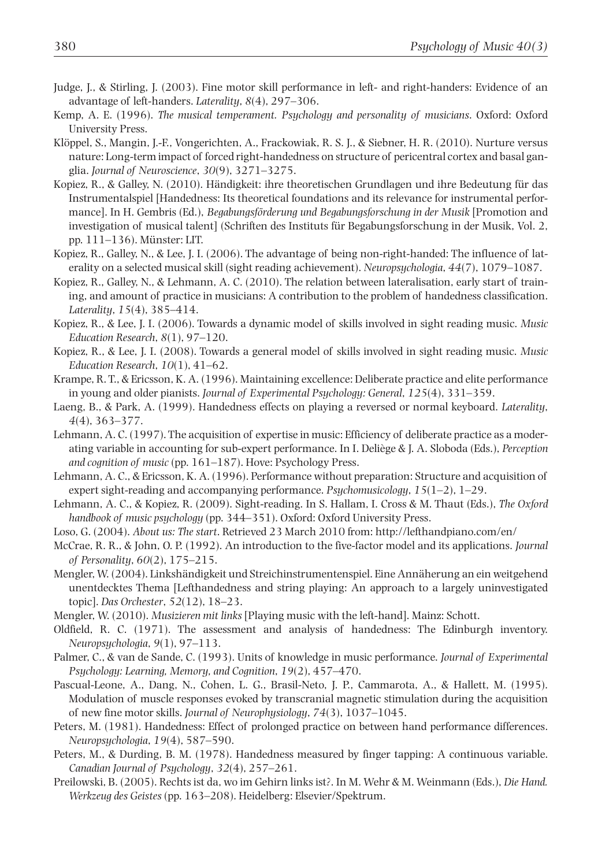- Judge, J., & Stirling, J. (2003). Fine motor skill performance in left- and right-handers: Evidence of an advantage of left-handers. *Laterality*, *8*(4), 297–306.
- Kemp, A. E. (1996). *The musical temperament. Psychology and personality of musicians*. Oxford: Oxford University Press.
- Klöppel, S., Mangin, J.-F., Vongerichten, A., Frackowiak, R. S. J., & Siebner, H. R. (2010). Nurture versus nature: Long-term impact of forced right-handedness on structure of pericentral cortex and basal ganglia. *Journal of Neuroscience*, *30*(9), 3271–3275.
- Kopiez, R., & Galley, N. (2010). Händigkeit: ihre theoretischen Grundlagen und ihre Bedeutung für das Instrumentalspiel [Handedness: Its theoretical foundations and its relevance for instrumental performance]. In H. Gembris (Ed.), *Begabungsförderung und Begabungsforschung in der Musik* [Promotion and investigation of musical talent] (Schriften des Instituts für Begabungsforschung in der Musik, Vol. 2, pp. 111–136). Münster: LIT.
- Kopiez, R., Galley, N., & Lee, J. I. (2006). The advantage of being non-right-handed: The influence of laterality on a selected musical skill (sight reading achievement). *Neuropsychologia*, *44*(7), 1079–1087.
- Kopiez, R., Galley, N., & Lehmann, A. C. (2010). The relation between lateralisation, early start of training, and amount of practice in musicians: A contribution to the problem of handedness classification. *Laterality*, *15*(4), 385–414.
- Kopiez, R., & Lee, J. I. (2006). Towards a dynamic model of skills involved in sight reading music. *Music Education Research*, *8*(1), 97–120.
- Kopiez, R., & Lee, J. I. (2008). Towards a general model of skills involved in sight reading music. *Music Education Research*, *10*(1), 41–62.
- Krampe, R. T., & Ericsson, K. A. (1996). Maintaining excellence: Deliberate practice and elite performance in young and older pianists. *Journal of Experimental Psychology: General*, *125*(4), 331–359.
- Laeng, B., & Park, A. (1999). Handedness effects on playing a reversed or normal keyboard. *Laterality*, *4*(4), 363–377.
- Lehmann, A. C. (1997). The acquisition of expertise in music: Efficiency of deliberate practice as a moderating variable in accounting for sub-expert performance. In I. Deliège & J. A. Sloboda (Eds.), *Perception and cognition of music* (pp. 161–187). Hove: Psychology Press.
- Lehmann, A. C., & Ericsson, K. A. (1996). Performance without preparation: Structure and acquisition of expert sight-reading and accompanying performance. *Psychomusicology*, *15*(1–2), 1–29.
- Lehmann, A. C., & Kopiez, R. (2009). Sight-reading. In S. Hallam, I. Cross & M. Thaut (Eds.), *The Oxford handbook of music psychology* (pp. 344–351). Oxford: Oxford University Press.
- Loso, G. (2004). *About us: The start*. Retrieved 23 March 2010 from: http://lefthandpiano.com/en/
- McCrae, R. R., & John, O. P. (1992). An introduction to the five-factor model and its applications. *Journal of Personality*, *60*(2), 175–215.
- Mengler, W. (2004). Linkshändigkeit und Streichinstrumentenspiel. Eine Annäherung an ein weitgehend unentdecktes Thema [Lefthandedness and string playing: An approach to a largely uninvestigated topic]. *Das Orchester*, *52*(12), 18–23.
- Mengler, W. (2010). *Musizieren mit links* [Playing music with the left-hand]. Mainz: Schott.
- Oldfield, R. C. (1971). The assessment and analysis of handedness: The Edinburgh inventory. *Neuropsychologia*, *9*(1), 97–113.
- Palmer, C., & van de Sande, C. (1993). Units of knowledge in music performance. *Journal of Experimental Psychology: Learning, Memory, and Cognition*, *19*(2), 457–470.
- Pascual-Leone, A., Dang, N., Cohen, L. G., Brasil-Neto, J. P., Cammarota, A., & Hallett, M. (1995). Modulation of muscle responses evoked by transcranial magnetic stimulation during the acquisition of new fine motor skills. *Journal of Neurophysiology*, *74*(3), 1037–1045.
- Peters, M. (1981). Handedness: Effect of prolonged practice on between hand performance differences. *Neuropsychologia*, *19*(4), 587–590.
- Peters, M., & Durding, B. M. (1978). Handedness measured by finger tapping: A continuous variable. *Canadian Journal of Psychology*, *32*(4), 257–261.
- Preilowski, B. (2005). Rechts ist da, wo im Gehirn links ist?. In M. Wehr & M. Weinmann (Eds.), *Die Hand. Werkzeug des Geistes* (pp. 163–208). Heidelberg: Elsevier/Spektrum.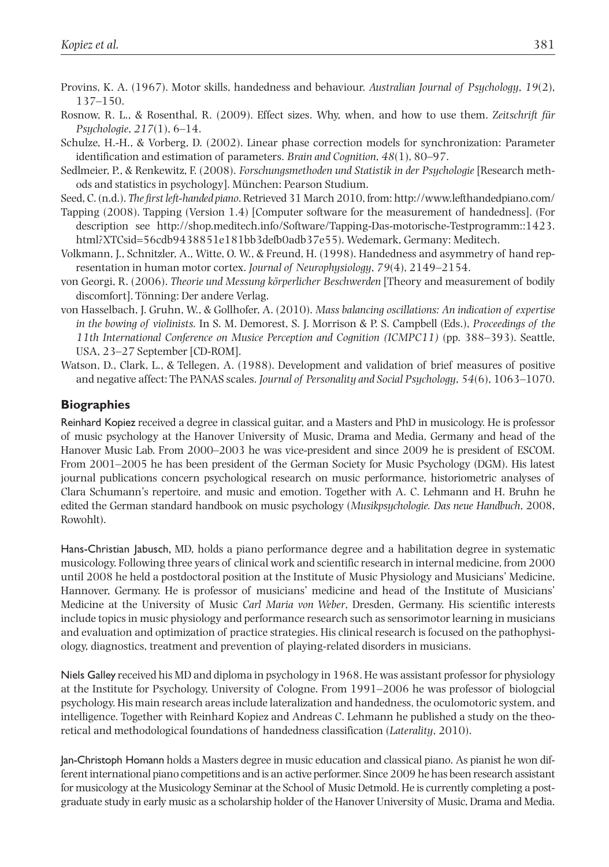- Provins, K. A. (1967). Motor skills, handedness and behaviour. *Australian Journal of Psychology*, *19*(2), 137–150.
- Rosnow, R. L., & Rosenthal, R. (2009). Effect sizes. Why, when, and how to use them. *Zeitschrift für Psychologie*, *217*(1), 6–14.
- Schulze, H.-H., & Vorberg, D. (2002). Linear phase correction models for synchronization: Parameter identification and estimation of parameters. *Brain and Cognition*, *48*(1), 80–97.
- Sedlmeier, P., & Renkewitz, F. (2008). *Forschungsmethoden und Statistik in der Psychologie* [Research methods and statistics in psychology]. München: Pearson Studium.
- Seed, C. (n.d.). *The first left-handed piano*. Retrieved 31 March 2010, from: http://www.lefthandedpiano.com/
- Tapping (2008). Tapping (Version 1.4) [Computer software for the measurement of handedness]. (For description see http://shop.meditech.info/Software/Tapping-Das-motorische-Testprogramm::1423. html?XTCsid 56cdb9438851e181bb3defb0adb37e55). Wedemark, Germany: Meditech.
- Volkmann, J., Schnitzler, A., Witte, O. W., & Freund, H. (1998). Handedness and asymmetry of hand representation in human motor cortex. *Journal of Neurophysiology*, *79*(4), 2149–2154.
- von Georgi, R. (2006). *Theorie und Messung körperlicher Beschwerden* [Theory and measurement of bodily discomfort]. Tönning: Der andere Verlag.
- von Hasselbach, J. Gruhn, W., & Gollhofer, A. (2010). *Mass balancing oscillations: An indication of expertise in the bowing of violinists.* In S. M. Demorest, S. J. Morrison & P. S. Campbell (Eds.), *Proceedings of the 11th International Conference on Musice Perception and Cognition (ICMPC11)* (pp. 388–393). Seattle, USA, 23–27 September [CD-ROM].
- Watson, D., Clark, L., & Tellegen, A. (1988). Development and validation of brief measures of positive and negative affect: The PANAS scales. *Journal of Personality and Social Psychology*, *54*(6), 1063–1070.

### **Biographies**

Reinhard Kopiez received a degree in classical guitar, and a Masters and PhD in musicology. He is professor of music psychology at the Hanover University of Music, Drama and Media, Germany and head of the Hanover Music Lab. From 2000–2003 he was vice-president and since 2009 he is president of ESCOM. From 2001–2005 he has been president of the German Society for Music Psychology (DGM). His latest journal publications concern psychological research on music performance, historiometric analyses of Clara Schumann's repertoire, and music and emotion. Together with A. C. Lehmann and H. Bruhn he edited the German standard handbook on music psychology (*Musikpsychologie. Das neue Handbuch*, 2008, Rowohlt).

Hans-Christian Jabusch, MD, holds a piano performance degree and a habilitation degree in systematic musicology. Following three years of clinical work and scientific research in internal medicine, from 2000 until 2008 he held a postdoctoral position at the Institute of Music Physiology and Musicians' Medicine, Hannover, Germany. He is professor of musicians' medicine and head of the Institute of Musicians' Medicine at the University of Music *Carl Maria von Weber*, Dresden, Germany. His scientific interests include topics in music physiology and performance research such as sensorimotor learning in musicians and evaluation and optimization of practice strategies. His clinical research is focused on the pathophysiology, diagnostics, treatment and prevention of playing-related disorders in musicians.

Niels Galley received his MD and diploma in psychology in 1968. He was assistant professor for physiology at the Institute for Psychology, University of Cologne. From 1991–2006 he was professor of biologcial psychology. His main research areas include lateralization and handedness, the oculomotoric system, and intelligence. Together with Reinhard Kopiez and Andreas C. Lehmann he published a study on the theoretical and methodological foundations of handedness classification (*Laterality*, 2010).

Jan-Christoph Homann holds a Masters degree in music education and classical piano. As pianist he won different international piano competitions and is an active performer. Since 2009 he has been research assistant for musicology at the Musicology Seminar at the School of Music Detmold. He is currently completing a postgraduate study in early music as a scholarship holder of the Hanover University of Music, Drama and Media.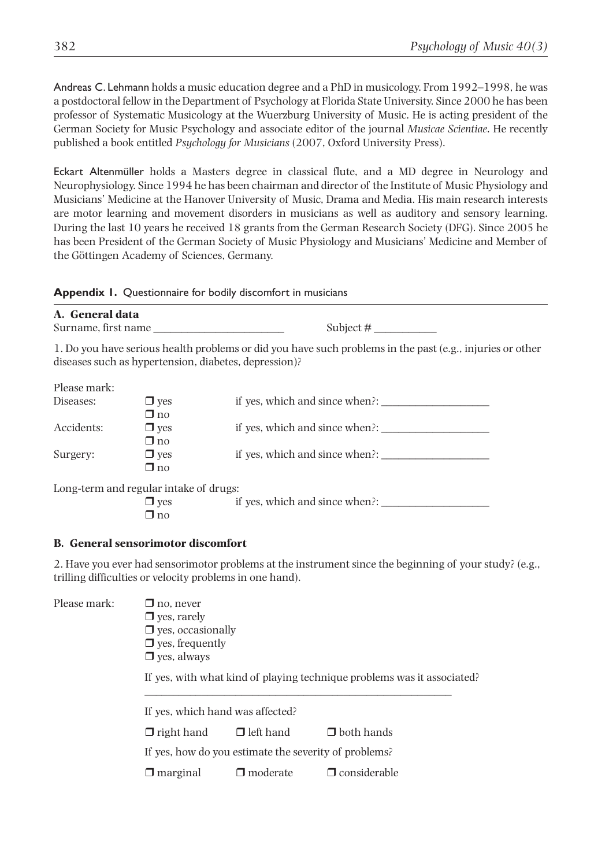Andreas C. Lehmann holds a music education degree and a PhD in musicology. From 1992–1998, he was a postdoctoral fellow in the Department of Psychology at Florida State University. Since 2000 he has been professor of Systematic Musicology at the Wuerzburg University of Music. He is acting president of the German Society for Music Psychology and associate editor of the journal *Musicae Scientiae*. He recently published a book entitled *Psychology for Musicians* (2007, Oxford University Press).

Eckart Altenmüller holds a Masters degree in classical flute, and a MD degree in Neurology and Neurophysiology. Since 1994 he has been chairman and director of the Institute of Music Physiology and Musicians' Medicine at the Hanover University of Music, Drama and Media. His main research interests are motor learning and movement disorders in musicians as well as auditory and sensory learning. During the last 10 years he received 18 grants from the German Research Society (DFG). Since 2005 he has been President of the German Society of Music Physiology and Musicians' Medicine and Member of the Göttingen Academy of Sciences, Germany.

**Appendix 1.** Questionnaire for bodily discomfort in musicians

| A. General data |                                        | Surname, first name<br>Subject $#$                                                                                                                                 |
|-----------------|----------------------------------------|--------------------------------------------------------------------------------------------------------------------------------------------------------------------|
|                 |                                        | 1. Do you have serious health problems or did you have such problems in the past (e.g., injuries or other<br>diseases such as hypertension, diabetes, depression)? |
| Please mark:    |                                        |                                                                                                                                                                    |
| Diseases:       | $\Box$ yes                             | if yes, which and since when?:                                                                                                                                     |
|                 | $\Box$ no                              |                                                                                                                                                                    |
| Accidents:      | $\Box$ yes                             | if yes, which and since when?:                                                                                                                                     |
|                 | $\Box$ no                              |                                                                                                                                                                    |
| Surgery:        | $\Box$ yes                             |                                                                                                                                                                    |
|                 | $\Box$ no                              |                                                                                                                                                                    |
|                 | Long-term and regular intake of drugs: |                                                                                                                                                                    |
|                 | $\Box$ yes                             | if yes, which and since when?:                                                                                                                                     |
|                 | □ no                                   |                                                                                                                                                                    |

#### **B. General sensorimotor discomfort**

2. Have you ever had sensorimotor problems at the instrument since the beginning of your study? (e.g., trilling difficulties or velocity problems in one hand).

| Please mark: | $\Box$ no, never<br>$\Box$ yes, rarely<br>$\Box$ yes, occasionally<br>$\Box$ yes, frequently<br>$\Box$ yes, always |                                    | If yes, with what kind of playing technique problems was it associated? |  |
|--------------|--------------------------------------------------------------------------------------------------------------------|------------------------------------|-------------------------------------------------------------------------|--|
|              | If yes, which hand was affected?                                                                                   |                                    |                                                                         |  |
|              |                                                                                                                    | $\Box$ right hand $\Box$ left hand | $\Box$ both hands                                                       |  |
|              |                                                                                                                    |                                    | If yes, how do you estimate the severity of problems?                   |  |
|              | $\square$ marginal                                                                                                 | $\square$ moderate                 | $\Box$ considerable                                                     |  |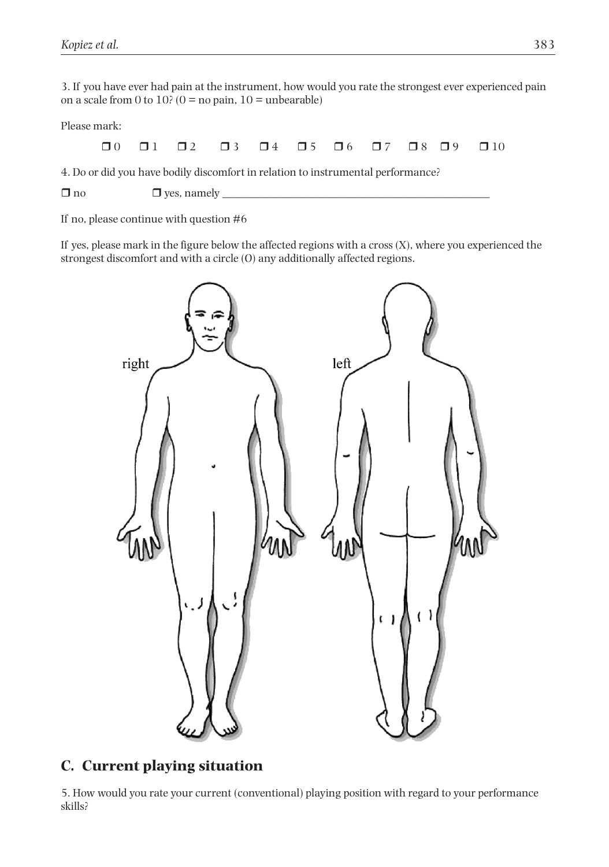3. If you have ever had pain at the instrument, how would you rate the strongest ever experienced pain on a scale from 0 to 10? ( $0 = no$  pain, 10 = unbearable)

Please mark:

 $\Box$ 0  $\Box$ 1  $\Box$ 2  $\Box$ 3  $\Box$ 4  $\Box$ 5  $\Box$ 6  $\Box$ 7  $\Box$ 8  $\Box$ 9  $\Box$ 10

4. Do or did you have bodily discomfort in relation to instrumental performance?

 $\Box$  no  $\Box$  yes, namely

If no, please continue with question #6

If yes, please mark in the figure below the affected regions with a cross (X), where you experienced the strongest discomfort and with a circle (O) any additionally affected regions.



# **C. Current playing situation**

5. How would you rate your current (conventional) playing position with regard to your performance skills?